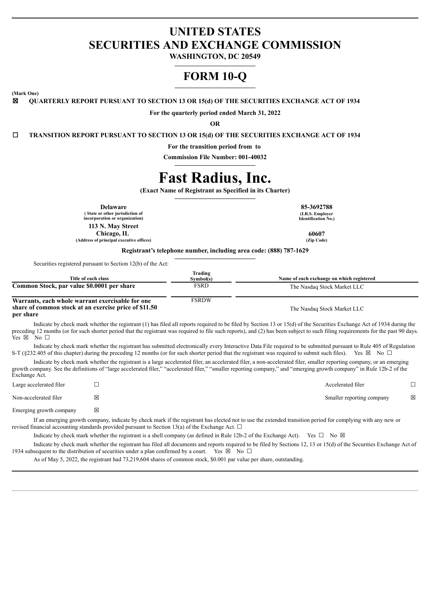# **UNITED STATES SECURITIES AND EXCHANGE COMMISSION**

**WASHINGTON, DC 20549**

# **FORM 10-Q**

**(Mark One)**

☒ **QUARTERLY REPORT PURSUANT TO SECTION 13 OR 15(d) OF THE SECURITIES EXCHANGE ACT OF 1934**

**For the quarterly period ended March 31, 2022**

**OR**

☐ **TRANSITION REPORT PURSUANT TO SECTION 13 OR 15(d) OF THE SECURITIES EXCHANGE ACT OF 1934**

**For the transition period from to**

**Commission File Number: 001-40032**

# **Fast Radius, Inc.**

**(Exact Name of Registrant as Specified in its Charter)**

**Delaware 85-3692788 ( State or other jurisdiction of incorporation or organization) 113 N. May Street Chicago, IL 60607**

**(Address of principal executive offices) (Zip Code)**

**(I.R.S. Employer Identification No.)**

The Nasdaq Stock Market LLC

**Registrant's telephone number, including area code: (888) 787-1629**

Securities registered pursuant to Section 12(b) of the Act:

| Title of each class                              | Trading<br>Symbol(s) | Name of each exchange on which registered |
|--------------------------------------------------|----------------------|-------------------------------------------|
| Common Stock, par value \$0.0001 per share       | FSRD                 | The Nasdaq Stock Market LLC               |
| Warrants, each whole warrant exercisable for one | FSRDW                |                                           |

# **share of common stock at an exercise price of \$11.50 per share**

Indicate by check mark whether the registrant (1) has filed all reports required to be filed by Section 13 or 15(d) of the Securities Exchange Act of 1934 during the preceding 12 months (or for such shorter period that the registrant was required to file such reports), and (2) has been subject to such filing requirements for the past 90 days.  $Yes \boxtimes No \Box$ 

Indicate by check mark whether the registrant has submitted electronically every Interactive Data File required to be submitted pursuant to Rule 405 of Regulation S-T (§232.405 of this chapter) during the preceding 12 months (or for such shorter period that the registrant was required to submit such files). Yes  $\boxtimes$  No  $\Box$ 

Indicate by check mark whether the registrant is a large accelerated filer, an accelerated filer, a non-accelerated filer, smaller reporting company, or an emerging growth company. See the definitions of "large accelerated filer," "sacelerated filer," "smaller reporting company," and "emerging growth company" in Rule 12b-2 of the Exchange Act.

| Large accelerated filer  |   | Accelerated filer         |   |
|--------------------------|---|---------------------------|---|
| Non-accelerated filer    | ⊠ | Smaller reporting company | 区 |
| Empressor crowth company | 罓 |                           |   |

Emerging growth company  $\boxtimes$ 

If an emerging growth company, indicate by check mark if the registrant has elected not to use the extended transition period for complying with any new or revised financial accounting standards provided pursuant to Section 13(a) of the Exchange Act.  $\Box$ 

Indicate by check mark whether the registrant is a shell company (as defined in Rule 12b-2 of the Exchange Act). Yes  $\Box$  No  $\boxtimes$ 

Indicate by check mark whether the registrant has filed all documents and reports required to be filed by Sections 12, 13 or 15(d) of the Securities Exchange Act of 1934 subsequent to the distribution of securities under a plan confirmed by a court. Yes  $\boxtimes$  No  $\Box$ 

As of May 5, 2022, the registrant had 73,219,604 shares of common stock, \$0.001 par value per share, outstanding.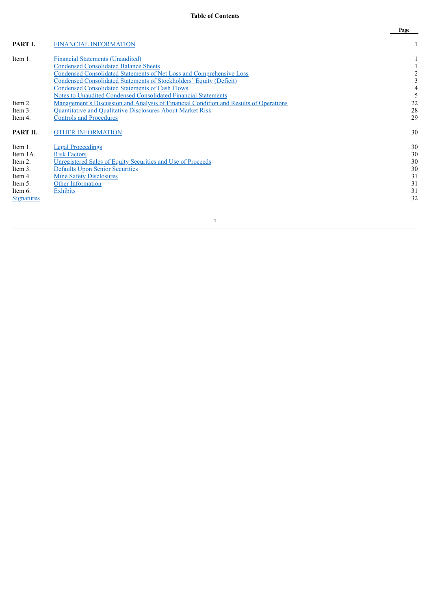# **Table of Contents**

| PART I.    | <b>FINANCIAL INFORMATION</b>                                                          |    |
|------------|---------------------------------------------------------------------------------------|----|
| Item 1.    | <b>Financial Statements (Unaudited)</b>                                               |    |
|            | <b>Condensed Consolidated Balance Sheets</b>                                          |    |
|            | Condensed Consolidated Statements of Net Loss and Comprehensive Loss                  |    |
|            | Condensed Consolidated Statements of Stockholders' Equity (Deficit)                   |    |
|            | <b>Condensed Consolidated Statements of Cash Flows</b>                                |    |
|            | <b>Notes to Unaudited Condensed Consolidated Financial Statements</b>                 |    |
| Item 2.    | Management's Discussion and Analysis of Financial Condition and Results of Operations | 22 |
| Item 3.    | <b>Ouantitative and Qualitative Disclosures About Market Risk</b>                     | 28 |
| Item 4.    | <b>Controls and Procedures</b>                                                        | 29 |
| PART II.   | <b>OTHER INFORMATION</b>                                                              | 30 |
| Item 1.    | <b>Legal Proceedings</b>                                                              | 30 |
| Item 1A.   | <b>Risk Factors</b>                                                                   | 30 |
| Item 2.    | Unregistered Sales of Equity Securities and Use of Proceeds                           | 30 |
| Item 3.    | <b>Defaults Upon Senior Securities</b>                                                | 30 |
| Item 4.    | <b>Mine Safety Disclosures</b>                                                        | 31 |
| Item 5.    | <b>Other Information</b>                                                              | 31 |
| Item 6.    | Exhibits                                                                              | 31 |
| Signatures |                                                                                       | 32 |
|            |                                                                                       |    |

**Page**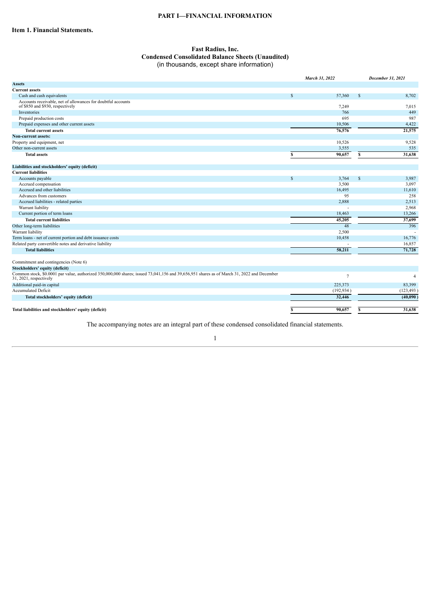# **PART I—FINANCIAL INFORMATION**

# **Fast Radius, Inc. Condensed Consolidated Balance Sheets (Unaudited)** (in thousands, except share information)

<span id="page-2-2"></span><span id="page-2-1"></span><span id="page-2-0"></span>

|                                                                                                                                                                      |                | March 31, 2022  | December 31, 2021 |                |  |
|----------------------------------------------------------------------------------------------------------------------------------------------------------------------|----------------|-----------------|-------------------|----------------|--|
| <b>Assets</b>                                                                                                                                                        |                |                 |                   |                |  |
| <b>Current assets</b>                                                                                                                                                |                |                 |                   |                |  |
| Cash and cash equivalents                                                                                                                                            | $\mathbf{s}$   | 57.360          | S                 | 8.702          |  |
| Accounts receivable, net of allowances for doubtful accounts<br>of \$850 and \$930, respectively                                                                     |                | 7,249           |                   | 7,015          |  |
| Inventories                                                                                                                                                          |                | 766             |                   | 449            |  |
| Prepaid production costs                                                                                                                                             |                | 695             |                   | 987            |  |
| Prepaid expenses and other current assets                                                                                                                            |                | 10,506          |                   | 4,422          |  |
| <b>Total current assets</b>                                                                                                                                          |                | 76,576          |                   | 21,575         |  |
| <b>Non-current assets:</b>                                                                                                                                           |                |                 |                   |                |  |
| Property and equipment, net                                                                                                                                          |                | 10,526          |                   | 9,528          |  |
| Other non-current assets                                                                                                                                             |                | 3,555           |                   | 535            |  |
| <b>Total assets</b>                                                                                                                                                  | $\overline{s}$ | 90,657          | $\overline{s}$    | 31.638         |  |
| Liabilities and stockholders' equity (deficit)                                                                                                                       |                |                 |                   |                |  |
| <b>Current liabilities</b>                                                                                                                                           |                |                 |                   |                |  |
| Accounts payable                                                                                                                                                     | $\mathbf{s}$   | 3,764           | S                 | 3,987          |  |
| Accrued compensation                                                                                                                                                 |                | 3,500           |                   | 3,097          |  |
| Accrued and other liabilities                                                                                                                                        |                | 16,495          |                   | 11,610         |  |
| Advances from customers                                                                                                                                              |                | 95              |                   | 258            |  |
| Accrued liabilities - related parties                                                                                                                                |                | 2,888           |                   | 2,513          |  |
| Warrant liability                                                                                                                                                    |                |                 |                   | 2,968          |  |
| Current portion of term loans                                                                                                                                        |                | 18,463          |                   | 13,266         |  |
| <b>Total current liabilities</b>                                                                                                                                     |                | 45,205          |                   | 37,699         |  |
| Other long-term liabilities                                                                                                                                          |                | 48              |                   | 396            |  |
| Warrant liability                                                                                                                                                    |                | 2,500           |                   |                |  |
| Term loans - net of current portion and debt issuance costs                                                                                                          |                | 10,458          |                   | 16,776         |  |
| Related party convertible notes and derivative liability                                                                                                             |                |                 |                   | 16,857         |  |
| <b>Total liabilities</b>                                                                                                                                             |                | 58,211          |                   | 71,728         |  |
| Commitment and contingencies (Note 6)                                                                                                                                |                |                 |                   |                |  |
| Stockholders' equity (deficit)                                                                                                                                       |                |                 |                   |                |  |
| Common stock, \$0.0001 par value, authorized 350,000,000 shares; issued 73,041,156 and 39,656,951 shares as of March 31, 2022 and December<br>31, 2021, respectively |                | $7\phantom{.0}$ |                   | $\overline{4}$ |  |
| Additional paid-in capital                                                                                                                                           |                | 225.373         |                   | 83,399         |  |
| <b>Accumulated Deficit</b>                                                                                                                                           |                | (192, 934)      |                   | (123, 493)     |  |
| Total stockholders' equity (deficit)                                                                                                                                 |                | 32,446          |                   | (40,090)       |  |
| Total liabilities and stockholders' equity (deficit)                                                                                                                 | s              | 90,657          | \$                | 31,638         |  |
|                                                                                                                                                                      |                |                 |                   |                |  |

The accompanying notes are an integral part of these condensed consolidated financial statements.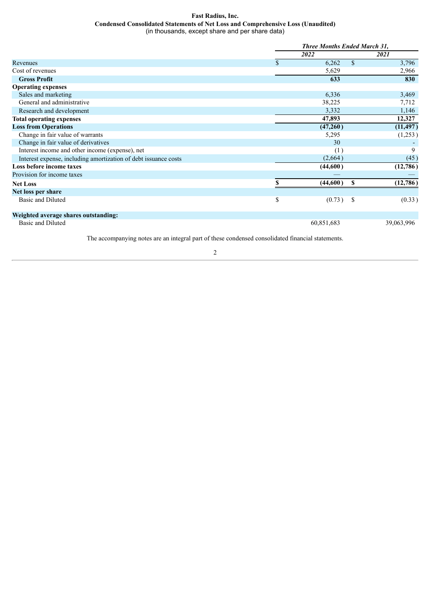# **Fast Radius, Inc. Condensed Consolidated Statements of Net Loss and Comprehensive Loss (Unaudited)** (in thousands, except share and per share data)

<span id="page-3-0"></span>

|                                                                 | <b>Three Months Ended March 31,</b> |             |            |  |  |
|-----------------------------------------------------------------|-------------------------------------|-------------|------------|--|--|
|                                                                 | 2022                                |             | 2021       |  |  |
| Revenues                                                        | \$<br>6,262                         | $\mathbf S$ | 3,796      |  |  |
| Cost of revenues                                                | 5,629                               |             | 2,966      |  |  |
| <b>Gross Profit</b>                                             | 633                                 |             | 830        |  |  |
| <b>Operating expenses</b>                                       |                                     |             |            |  |  |
| Sales and marketing                                             | 6,336                               |             | 3,469      |  |  |
| General and administrative                                      | 38,225                              |             | 7,712      |  |  |
| Research and development                                        | 3,332                               |             | 1,146      |  |  |
| <b>Total operating expenses</b>                                 | 47,893                              |             | 12,327     |  |  |
| <b>Loss from Operations</b>                                     | (47,260)                            |             | (11, 497)  |  |  |
| Change in fair value of warrants                                | 5,295                               |             | (1,253)    |  |  |
| Change in fair value of derivatives                             | 30                                  |             |            |  |  |
| Interest income and other income (expense), net                 | (1)                                 |             | 9          |  |  |
| Interest expense, including amortization of debt issuance costs | (2,664)                             |             | (45)       |  |  |
| Loss before income taxes                                        | (44,600)                            |             | (12,786)   |  |  |
| Provision for income taxes                                      |                                     |             |            |  |  |
| <b>Net Loss</b>                                                 | (44,600)                            | \$.         | (12,786)   |  |  |
| Net loss per share                                              |                                     |             |            |  |  |
| Basic and Diluted                                               | \$<br>$(0.73)$ \$                   |             | (0.33)     |  |  |
| Weighted average shares outstanding:                            |                                     |             |            |  |  |
| Basic and Diluted                                               | 60,851,683                          |             | 39,063,996 |  |  |

The accompanying notes are an integral part of these condensed consolidated financial statements.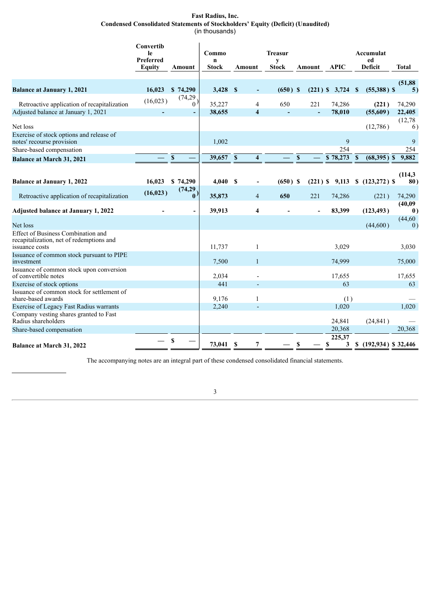# **Fast Radius, Inc. Condensed Consolidated Statements of Stockholders' Equity (Deficit) (Unaudited)** (in thousands)

<span id="page-4-0"></span>

|                                                                                                  | Convertib<br>le<br>Preferred<br><b>Equity</b> | Amount       | Commo<br>$\mathbf n$<br>Stock | Amount                  | Treasur<br>y<br><b>Stock</b>              | Amount         | <b>APIC</b>          | Accumulat<br>ed<br><b>Deficit</b> | <b>Total</b>      |
|--------------------------------------------------------------------------------------------------|-----------------------------------------------|--------------|-------------------------------|-------------------------|-------------------------------------------|----------------|----------------------|-----------------------------------|-------------------|
| <b>Balance at January 1, 2021</b>                                                                | 16,023                                        | \$74,290     | 3,428                         | $\mathbf{s}$            | $(650)$ \$                                |                | $(221)$ \$ 3,724 \$  | $(55,388)$ \$                     | (51, 88)<br>5)    |
|                                                                                                  |                                               | (74, 29)     |                               |                         |                                           |                |                      |                                   |                   |
| Retroactive application of recapitalization                                                      | (16,023)                                      | $\theta$     | 35,227                        |                         | 650<br>4                                  | 221            | 74,286               | (221)                             | 74,290            |
| Adjusted balance at January 1, 2021                                                              |                                               |              | 38,655                        |                         | $\overline{\mathbf{4}}$<br>$\blacksquare$ | $\blacksquare$ | 78,010               | (55,609)                          | 22,405            |
| Net loss                                                                                         |                                               |              |                               |                         |                                           |                |                      | (12,786)                          | (12,78)<br>6)     |
| Exercise of stock options and release of<br>notes' recourse provision                            |                                               |              | 1,002                         |                         |                                           |                | 9                    |                                   | 9                 |
| Share-based compensation                                                                         |                                               |              |                               |                         |                                           |                | 254                  |                                   | 254               |
| <b>Balance at March 31, 2021</b>                                                                 |                                               | $\mathbf S$  | 39,657                        | $\overline{\mathbf{s}}$ | $\overline{\mathbf{4}}$                   | $\mathbf S$    | $\overline{$}78,273$ | $(68,395)$ \$<br>$\mathbf{s}$     | 9,882             |
|                                                                                                  | 16,023                                        | \$74,290     | 4,040S                        |                         | $(650)$ \$                                | $(221)$ \$     | 9,113                | <sup>\$</sup>                     | (114,3)<br>80)    |
| <b>Balance at January 1, 2022</b>                                                                |                                               | (74, 29)     |                               |                         |                                           |                |                      | $(123, 272)$ \$                   |                   |
| Retroactive application of recapitalization                                                      | (16, 023)                                     | $\mathbf{0}$ | 35,873                        |                         | 650<br>$\overline{4}$                     | 221            | 74,286               | (221)                             | 74,290<br>(40,09) |
| <b>Adjusted balance at January 1, 2022</b>                                                       |                                               |              | 39,913                        |                         | 4                                         | $\blacksquare$ | 83,399               | (123, 493)                        | $\boldsymbol{0}$  |
| Net loss                                                                                         |                                               |              |                               |                         |                                           |                |                      | (44, 600)                         | (44, 60)<br>0)    |
| Effect of Business Combination and<br>recapitalization, net of redemptions and<br>issuance costs |                                               |              | 11,737                        | 1                       |                                           |                | 3,029                |                                   | 3,030             |
| Issuance of common stock pursuant to PIPE<br>investment                                          |                                               |              | 7,500                         | $\mathbf{1}$            |                                           |                | 74,999               |                                   | 75,000            |
| Issuance of common stock upon conversion<br>of convertible notes                                 |                                               |              | 2,034                         |                         |                                           |                | 17,655               |                                   | 17,655            |
| Exercise of stock options                                                                        |                                               |              | 441                           |                         |                                           |                | 63                   |                                   | 63                |
| Issuance of common stock for settlement of<br>share-based awards                                 |                                               |              | 9,176                         | 1                       |                                           |                | (1)                  |                                   |                   |
| Exercise of Legacy Fast Radius warrants                                                          |                                               |              | 2,240                         |                         |                                           |                | 1,020                |                                   | 1,020             |
| Company vesting shares granted to Fast<br>Radius shareholders                                    |                                               |              |                               |                         |                                           |                | 24,841               | (24, 841)                         |                   |
| Share-based compensation                                                                         |                                               |              |                               |                         |                                           |                | 20,368               |                                   | 20,368            |
| Balance at March 31, 2022                                                                        |                                               | $\mathbf S$  | 73,041                        | 7<br>-S                 |                                           | S              | 225,37<br>\$<br>3    | \$ (192,934) \$ 32,446            |                   |

The accompanying notes are an integral part of these condensed consolidated financial statements.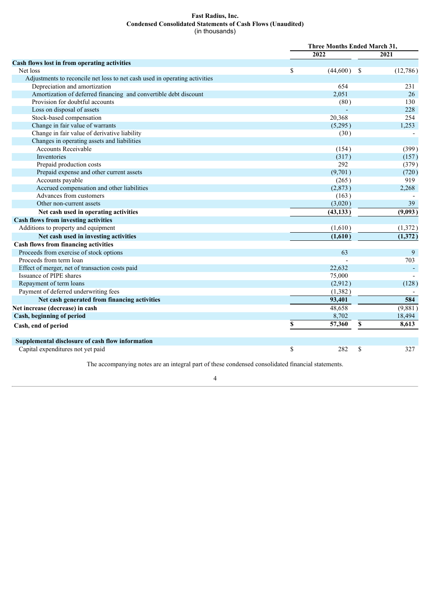# **Fast Radius, Inc. Condensed Consolidated Statements of Cash Flows (Unaudited)** (in thousands)

<span id="page-5-0"></span>

|                                                                            | Three Months Ended March 31, |                  |             |          |
|----------------------------------------------------------------------------|------------------------------|------------------|-------------|----------|
|                                                                            |                              | 2022             |             | 2021     |
| Cash flows lost in from operating activities                               |                              |                  |             |          |
| Net loss                                                                   | \$                           | (44,600)<br>- \$ |             | (12,786) |
| Adjustments to reconcile net loss to net cash used in operating activities |                              |                  |             |          |
| Depreciation and amortization                                              |                              | 654              |             | 231      |
| Amortization of deferred financing and convertible debt discount           |                              | 2,051            |             | 26       |
| Provision for doubtful accounts                                            |                              | (80)             |             | 130      |
| Loss on disposal of assets                                                 |                              |                  |             | 228      |
| Stock-based compensation                                                   |                              | 20,368           |             | 254      |
| Change in fair value of warrants                                           |                              | (5,295)          |             | 1,253    |
| Change in fair value of derivative liability                               |                              | (30)             |             |          |
| Changes in operating assets and liabilities                                |                              |                  |             |          |
| <b>Accounts Receivable</b>                                                 |                              | (154)            |             | (399)    |
| Inventories                                                                |                              | (317)            |             | (157)    |
| Prepaid production costs                                                   |                              | 292              |             | (379)    |
| Prepaid expense and other current assets                                   |                              | (9,701)          |             | (720)    |
| Accounts payable                                                           |                              | (265)            |             | 919      |
| Accrued compensation and other liabilities                                 |                              | (2,873)          |             | 2,268    |
| Advances from customers                                                    |                              | (163)            |             |          |
| Other non-current assets                                                   |                              | (3,020)          |             | 39       |
| Net cash used in operating activities                                      |                              | (43, 133)        |             | (9,093)  |
| <b>Cash flows from investing activities</b>                                |                              |                  |             |          |
| Additions to property and equipment                                        |                              | (1,610)          |             | (1,372)  |
| Net cash used in investing activities                                      |                              | (1,610)          |             | (1,372)  |
| <b>Cash flows from financing activities</b>                                |                              |                  |             |          |
| Proceeds from exercise of stock options                                    |                              | 63               |             | 9        |
| Proceeds from term loan                                                    |                              |                  |             | 703      |
| Effect of merger, net of transaction costs paid                            |                              | 22,632           |             |          |
| Issuance of PIPE shares                                                    |                              | 75,000           |             |          |
| Repayment of term loans                                                    |                              | (2,912)          |             | (128)    |
| Payment of deferred underwriting fees                                      |                              | (1,382)          |             |          |
| Net cash generated from financing activities                               |                              | 93,401           |             | 584      |
| Net increase (decrease) in cash                                            |                              | 48,658           |             | (9,881)  |
| Cash, beginning of period                                                  |                              | 8,702            |             | 18,494   |
| Cash, end of period                                                        | \$                           | 57,360           | $\mathbb S$ | 8,613    |
| Supplemental disclosure of cash flow information                           |                              |                  |             |          |
| Capital expenditures not yet paid                                          | \$                           | 282              | \$          | 327      |
|                                                                            |                              |                  |             |          |

The accompanying notes are an integral part of these condensed consolidated financial statements.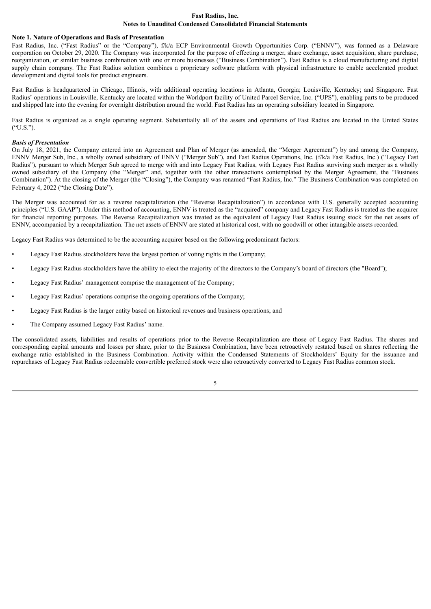#### **Fast Radius, Inc. Notes to Unaudited Condensed Consolidated Financial Statements**

# <span id="page-6-0"></span>**Note 1. Nature of Operations and Basis of Presentation**

Fast Radius, Inc. ("Fast Radius" or the "Company"), f/k/a ECP Environmental Growth Opportunities Corp. ("ENNV"), was formed as a Delaware corporation on October 29, 2020. The Company was incorporated for the purpose of effecting a merger, share exchange, asset acquisition, share purchase, reorganization, or similar business combination with one or more businesses ("Business Combination"). Fast Radius is a cloud manufacturing and digital supply chain company. The Fast Radius solution combines a proprietary software platform with physical infrastructure to enable accelerated product development and digital tools for product engineers.

Fast Radius is headquartered in Chicago, Illinois, with additional operating locations in Atlanta, Georgia; Louisville, Kentucky; and Singapore. Fast Radius' operations in Louisville, Kentucky are located within the Worldport facility of United Parcel Service, Inc. ("UPS"), enabling parts to be produced and shipped late into the evening for overnight distribution around the world. Fast Radius has an operating subsidiary located in Singapore.

Fast Radius is organized as a single operating segment. Substantially all of the assets and operations of Fast Radius are located in the United States ("U.S.").

#### *Basis of Presentation*

On July 18, 2021, the Company entered into an Agreement and Plan of Merger (as amended, the "Merger Agreement") by and among the Company, ENNV Merger Sub, Inc., a wholly owned subsidiary of ENNV ("Merger Sub"), and Fast Radius Operations, Inc. (f/k/a Fast Radius, Inc.) ("Legacy Fast Radius"), pursuant to which Merger Sub agreed to merge with and into Legacy Fast Radius, with Legacy Fast Radius surviving such merger as a wholly owned subsidiary of the Company (the "Merger" and, together with the other transactions contemplated by the Merger Agreement, the "Business Combination"). At the closing of the Merger (the "Closing"), the Company was renamed "Fast Radius, Inc." The Business Combination was completed on February 4, 2022 ("the Closing Date").

The Merger was accounted for as a reverse recapitalization (the "Reverse Recapitalization") in accordance with U.S. generally accepted accounting principles ("U.S. GAAP"). Under this method of accounting, ENNV is treated as the "acquired" company and Legacy Fast Radius is treated as the acquirer for financial reporting purposes. The Reverse Recapitalization was treated as the equivalent of Legacy Fast Radius issuing stock for the net assets of ENNV, accompanied by a recapitalization. The net assets of ENNV are stated at historical cost, with no goodwill or other intangible assets recorded.

Legacy Fast Radius was determined to be the accounting acquirer based on the following predominant factors:

- Legacy Fast Radius stockholders have the largest portion of voting rights in the Company;
- Legacy Fast Radius stockholders have the ability to elect the majority of the directors to the Company's board of directors (the "Board");
- Legacy Fast Radius' management comprise the management of the Company;
- Legacy Fast Radius' operations comprise the ongoing operations of the Company;
- Legacy Fast Radius is the larger entity based on historical revenues and business operations; and
- The Company assumed Legacy Fast Radius' name.

The consolidated assets, liabilities and results of operations prior to the Reverse Recapitalization are those of Legacy Fast Radius. The shares and corresponding capital amounts and losses per share, prior to the Business Combination, have been retroactively restated based on shares reflecting the exchange ratio established in the Business Combination. Activity within the Condensed Statements of Stockholders' Equity for the issuance and repurchases of Legacy Fast Radius redeemable convertible preferred stock were also retroactively converted to Legacy Fast Radius common stock.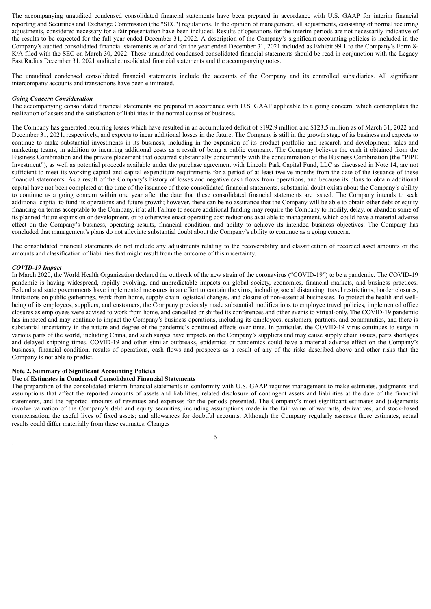The accompanying unaudited condensed consolidated financial statements have been prepared in accordance with U.S. GAAP for interim financial reporting and Securities and Exchange Commission (the "SEC") regulations. In the opinion of management, all adjustments, consisting of normal recurring adjustments, considered necessary for a fair presentation have been included. Results of operations for the interim periods are not necessarily indicative of the results to be expected for the full year ended December 31, 2022. A description of the Company's significant accounting policies is included in the Company's audited consolidated financial statements as of and for the year ended December 31, 2021 included as Exhibit 99.1 to the Company's Form 8- K/A filed with the SEC on March 30, 2022. These unaudited condensed consolidated financial statements should be read in conjunction with the Legacy Fast Radius December 31, 2021 audited consolidated financial statements and the accompanying notes.

The unaudited condensed consolidated financial statements include the accounts of the Company and its controlled subsidiaries. All significant intercompany accounts and transactions have been eliminated.

#### *Going Concern Consideration*

The accompanying consolidated financial statements are prepared in accordance with U.S. GAAP applicable to a going concern, which contemplates the realization of assets and the satisfaction of liabilities in the normal course of business.

The Company has generated recurring losses which have resulted in an accumulated deficit of \$192.9 million and \$123.5 million as of March 31, 2022 and December 31, 2021, respectively, and expects to incur additional losses in the future. The Company is still in the growth stage of its business and expects to continue to make substantial investments in its business, including in the expansion of its product portfolio and research and development, sales and marketing teams, in addition to incurring additional costs as a result of being a public company. The Company believes the cash it obtained from the Business Combination and the private placement that occurred substantially concurrently with the consummation of the Business Combination (the "PIPE Investment"), as well as potential proceeds available under the purchase agreement with Lincoln Park Capital Fund, LLC as discussed in Note 14, are not sufficient to meet its working capital and capital expenditure requirements for a period of at least twelve months from the date of the issuance of these financial statements. As a result of the Company's history of losses and negative cash flows from operations, and because its plans to obtain additional capital have not been completed at the time of the issuance of these consolidated financial statements, substantial doubt exists about the Company's ability to continue as a going concern within one year after the date that these consolidated financial statements are issued. The Company intends to seek additional capital to fund its operations and future growth; however, there can be no assurance that the Company will be able to obtain other debt or equity financing on terms acceptable to the Company, if at all. Failure to secure additional funding may require the Company to modify, delay, or abandon some of its planned future expansion or development, or to otherwise enact operating cost reductions available to management, which could have a material adverse effect on the Company's business, operating results, financial condition, and ability to achieve its intended business objectives. The Company has concluded that management's plans do not alleviate substantial doubt about the Company's ability to continue as a going concern.

The consolidated financial statements do not include any adjustments relating to the recoverability and classification of recorded asset amounts or the amounts and classification of liabilities that might result from the outcome of this uncertainty.

# *COVID-19 Impact*

In March 2020, the World Health Organization declared the outbreak of the new strain of the coronavirus ("COVID-19") to be a pandemic. The COVID-19 pandemic is having widespread, rapidly evolving, and unpredictable impacts on global society, economies, financial markets, and business practices. Federal and state governments have implemented measures in an effort to contain the virus, including social distancing, travel restrictions, border closures, limitations on public gatherings, work from home, supply chain logistical changes, and closure of non-essential businesses. To protect the health and wellbeing of its employees, suppliers, and customers, the Company previously made substantial modifications to employee travel policies, implemented office closures as employees were advised to work from home, and cancelled or shifted its conferences and other events to virtual-only. The COVID-19 pandemic has impacted and may continue to impact the Company's business operations, including its employees, customers, partners, and communities, and there is substantial uncertainty in the nature and degree of the pandemic's continued effects over time. In particular, the COVID-19 virus continues to surge in various parts of the world, including China, and such surges have impacts on the Company's suppliers and may cause supply chain issues, parts shortages and delayed shipping times. COVID-19 and other similar outbreaks, epidemics or pandemics could have a material adverse effect on the Company's business, financial condition, results of operations, cash flows and prospects as a result of any of the risks described above and other risks that the Company is not able to predict.

#### **Note 2. Summary of Significant Accounting Policies**

#### **Use of Estimates in Condensed Consolidated Financial Statements**

The preparation of the consolidated interim financial statements in conformity with U.S. GAAP requires management to make estimates, judgments and assumptions that affect the reported amounts of assets and liabilities, related disclosure of contingent assets and liabilities at the date of the financial statements, and the reported amounts of revenues and expenses for the periods presented. The Company's most significant estimates and judgements involve valuation of the Company's debt and equity securities, including assumptions made in the fair value of warrants, derivatives, and stock-based compensation; the useful lives of fixed assets; and allowances for doubtful accounts. Although the Company regularly assesses these estimates, actual results could differ materially from these estimates. Changes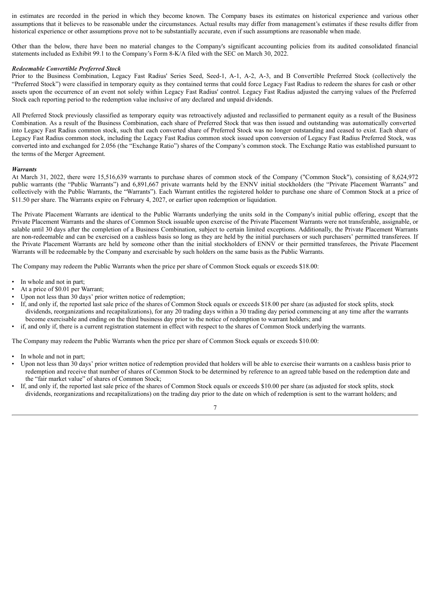in estimates are recorded in the period in which they become known. The Company bases its estimates on historical experience and various other assumptions that it believes to be reasonable under the circumstances. Actual results may differ from management's estimates if these results differ from historical experience or other assumptions prove not to be substantially accurate, even if such assumptions are reasonable when made.

Other than the below, there have been no material changes to the Company's significant accounting policies from its audited consolidated financial statements included as Exhibit 99.1 to the Company's Form 8-K/A filed with the SEC on March 30, 2022.

# *Redeemable Convertible Preferred Stock*

Prior to the Business Combination, Legacy Fast Radius' Series Seed, Seed-1, A-1, A-2, A-3, and B Convertible Preferred Stock (collectively the "Preferred Stock") were classified in temporary equity as they contained terms that could force Legacy Fast Radius to redeem the shares for cash or other assets upon the occurrence of an event not solely within Legacy Fast Radius' control. Legacy Fast Radius adjusted the carrying values of the Preferred Stock each reporting period to the redemption value inclusive of any declared and unpaid dividends.

All Preferred Stock previously classified as temporary equity was retroactively adjusted and reclassified to permanent equity as a result of the Business Combination. As a result of the Business Combination, each share of Preferred Stock that was then issued and outstanding was automatically converted into Legacy Fast Radius common stock, such that each converted share of Preferred Stock was no longer outstanding and ceased to exist. Each share of Legacy Fast Radius common stock, including the Legacy Fast Radius common stock issued upon conversion of Legacy Fast Radius Preferred Stock, was converted into and exchanged for 2.056 (the "Exchange Ratio") shares of the Company's common stock. The Exchange Ratio was established pursuant to the terms of the Merger Agreement.

# *Warrants*

At March 31, 2022, there were 15,516,639 warrants to purchase shares of common stock of the Company ("Common Stock"), consisting of 8,624,972 public warrants (the "Public Warrants") and 6,891,667 private warrants held by the ENNV initial stockholders (the "Private Placement Warrants" and collectively with the Public Warrants, the "Warrants"). Each Warrant entitles the registered holder to purchase one share of Common Stock at a price of \$11.50 per share. The Warrants expire on February 4, 2027, or earlier upon redemption or liquidation.

The Private Placement Warrants are identical to the Public Warrants underlying the units sold in the Company's initial public offering, except that the Private Placement Warrants and the shares of Common Stock issuable upon exercise of the Private Placement Warrants were not transferable, assignable, or salable until 30 days after the completion of a Business Combination, subject to certain limited exceptions. Additionally, the Private Placement Warrants are non-redeemable and can be exercised on a cashless basis so long as they are held by the initial purchasers or such purchasers' permitted transferees. If the Private Placement Warrants are held by someone other than the initial stockholders of ENNV or their permitted transferees, the Private Placement Warrants will be redeemable by the Company and exercisable by such holders on the same basis as the Public Warrants.

The Company may redeem the Public Warrants when the price per share of Common Stock equals or exceeds \$18.00:

- In whole and not in part;
- At a price of \$0.01 per Warrant;
- Upon not less than 30 days' prior written notice of redemption:
- If, and only if, the reported last sale price of the shares of Common Stock equals or exceeds \$18.00 per share (as adjusted for stock splits, stock dividends, reorganizations and recapitalizations), for any 20 trading days within a 30 trading day period commencing at any time after the warrants become exercisable and ending on the third business day prior to the notice of redemption to warrant holders; and
- if, and only if, there is a current registration statement in effect with respect to the shares of Common Stock underlying the warrants.

The Company may redeem the Public Warrants when the price per share of Common Stock equals or exceeds \$10.00:

- In whole and not in part;
- Upon not less than 30 days' prior written notice of redemption provided that holders will be able to exercise their warrants on a cashless basis prior to redemption and receive that number of shares of Common Stock to be determined by reference to an agreed table based on the redemption date and the "fair market value" of shares of Common Stock;
- If, and only if, the reported last sale price of the shares of Common Stock equals or exceeds \$10.00 per share (as adjusted for stock splits, stock dividends, reorganizations and recapitalizations) on the trading day prior to the date on which of redemption is sent to the warrant holders; and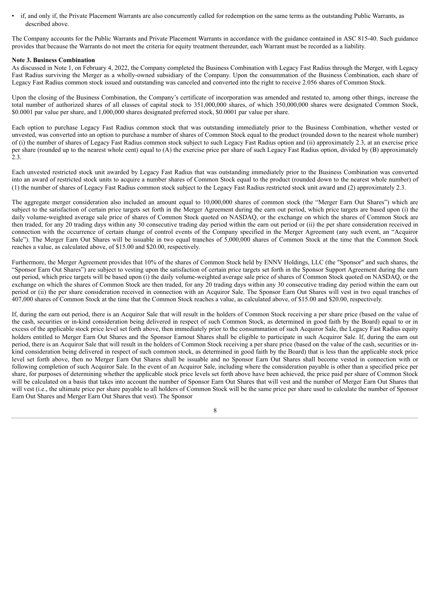• if, and only if, the Private Placement Warrants are also concurrently called for redemption on the same terms as the outstanding Public Warrants, as described above.

The Company accounts for the Public Warrants and Private Placement Warrants in accordance with the guidance contained in ASC 815-40. Such guidance provides that because the Warrants do not meet the criteria for equity treatment thereunder, each Warrant must be recorded as a liability.

#### **Note 3. Business Combination**

As discussed in Note 1, on February 4, 2022, the Company completed the Business Combination with Legacy Fast Radius through the Merger, with Legacy Fast Radius surviving the Merger as a wholly-owned subsidiary of the Company. Upon the consummation of the Business Combination, each share of Legacy Fast Radius common stock issued and outstanding was canceled and converted into the right to receive 2.056 shares of Common Stock.

Upon the closing of the Business Combination, the Company's certificate of incorporation was amended and restated to, among other things, increase the total number of authorized shares of all classes of capital stock to 351,000,000 shares, of which 350,000,000 shares were designated Common Stock, \$0.0001 par value per share, and 1,000,000 shares designated preferred stock, \$0.0001 par value per share.

Each option to purchase Legacy Fast Radius common stock that was outstanding immediately prior to the Business Combination, whether vested or unvested, was converted into an option to purchase a number of shares of Common Stock equal to the product (rounded down to the nearest whole number) of (i) the number of shares of Legacy Fast Radius common stock subject to such Legacy Fast Radius option and (ii) approximately 2.3, at an exercise price per share (rounded up to the nearest whole cent) equal to  $(A)$  the exercise price per share of such Legacy Fast Radius option, divided by  $(B)$  approximately 2.3.

Each unvested restricted stock unit awarded by Legacy Fast Radius that was outstanding immediately prior to the Business Combination was converted into an award of restricted stock units to acquire a number shares of Common Stock equal to the product (rounded down to the nearest whole number) of (1) the number of shares of Legacy Fast Radius common stock subject to the Legacy Fast Radius restricted stock unit award and (2) approximately 2.3.

The aggregate merger consideration also included an amount equal to 10,000,000 shares of common stock (the "Merger Earn Out Shares") which are subject to the satisfaction of certain price targets set forth in the Merger Agreement during the earn out period, which price targets are based upon (i) the daily volume-weighted average sale price of shares of Common Stock quoted on NASDAQ, or the exchange on which the shares of Common Stock are then traded, for any 20 trading days within any 30 consecutive trading day period within the earn out period or (ii) the per share consideration received in connection with the occurrence of certain change of control events of the Company specified in the Merger Agreement (any such event, an "Acquiror Sale"). The Merger Earn Out Shares will be issuable in two equal tranches of 5,000,000 shares of Common Stock at the time that the Common Stock reaches a value, as calculated above, of \$15.00 and \$20.00, respectively.

Furthermore, the Merger Agreement provides that 10% of the shares of Common Stock held by ENNV Holdings, LLC (the "Sponsor" and such shares, the "Sponsor Earn Out Shares") are subject to vesting upon the satisfaction of certain price targets set forth in the Sponsor Support Agreement during the earn out period, which price targets will be based upon (i) the daily volume-weighted average sale price of shares of Common Stock quoted on NASDAQ, or the exchange on which the shares of Common Stock are then traded, for any 20 trading days within any 30 consecutive trading day period within the earn out period or (ii) the per share consideration received in connection with an Acquiror Sale. The Sponsor Earn Out Shares will vest in two equal tranches of 407,000 shares of Common Stock at the time that the Common Stock reaches a value, as calculated above, of \$15.00 and \$20.00, respectively.

If, during the earn out period, there is an Acquiror Sale that will result in the holders of Common Stock receiving a per share price (based on the value of the cash, securities or in-kind consideration being delivered in respect of such Common Stock, as determined in good faith by the Board) equal to or in excess of the applicable stock price level set forth above, then immediately prior to the consummation of such Acquiror Sale, the Legacy Fast Radius equity holders entitled to Merger Earn Out Shares and the Sponsor Earnout Shares shall be eligible to participate in such Acquiror Sale. If, during the earn out period, there is an Acquiror Sale that will result in the holders of Common Stock receiving a per share price (based on the value of the cash, securities or inkind consideration being delivered in respect of such common stock, as determined in good faith by the Board) that is less than the applicable stock price level set forth above, then no Merger Earn Out Shares shall be issuable and no Sponsor Earn Out Shares shall become vested in connection with or following completion of such Acquiror Sale. In the event of an Acquiror Sale, including where the consideration payable is other than a specified price per share, for purposes of determining whether the applicable stock price levels set forth above have been achieved, the price paid per share of Common Stock will be calculated on a basis that takes into account the number of Sponsor Earn Out Shares that will vest and the number of Merger Earn Out Shares that will vest (i.e., the ultimate price per share payable to all holders of Common Stock will be the same price per share used to calculate the number of Sponsor Earn Out Shares and Merger Earn Out Shares that vest). The Sponsor

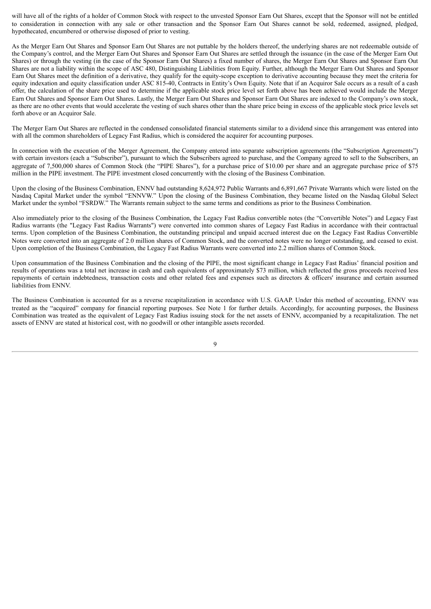will have all of the rights of a holder of Common Stock with respect to the unvested Sponsor Earn Out Shares, except that the Sponsor will not be entitled to consideration in connection with any sale or other transaction and the Sponsor Earn Out Shares cannot be sold, redeemed, assigned, pledged, hypothecated, encumbered or otherwise disposed of prior to vesting.

As the Merger Earn Out Shares and Sponsor Earn Out Shares are not puttable by the holders thereof, the underlying shares are not redeemable outside of the Company's control, and the Merger Earn Out Shares and Sponsor Earn Out Shares are settled through the issuance (in the case of the Merger Earn Out Shares) or through the vesting (in the case of the Sponsor Earn Out Shares) a fixed number of shares, the Merger Earn Out Shares and Sponsor Earn Out Shares are not a liability within the scope of ASC 480, Distinguishing Liabilities from Equity. Further, although the Merger Earn Out Shares and Sponsor Earn Out Shares meet the definition of a derivative, they qualify for the equity-scope exception to derivative accounting because they meet the criteria for equity indexation and equity classification under ASC 815-40, Contracts in Entity's Own Equity. Note that if an Acquiror Sale occurs as a result of a cash offer, the calculation of the share price used to determine if the applicable stock price level set forth above has been achieved would include the Merger Earn Out Shares and Sponsor Earn Out Shares. Lastly, the Merger Earn Out Shares and Sponsor Earn Out Shares are indexed to the Company's own stock, as there are no other events that would accelerate the vesting of such shares other than the share price being in excess of the applicable stock price levels set forth above or an Acquiror Sale.

The Merger Earn Out Shares are reflected in the condensed consolidated financial statements similar to a dividend since this arrangement was entered into with all the common shareholders of Legacy Fast Radius, which is considered the acquirer for accounting purposes.

In connection with the execution of the Merger Agreement, the Company entered into separate subscription agreements (the "Subscription Agreements") with certain investors (each a "Subscriber"), pursuant to which the Subscribers agreed to purchase, and the Company agreed to sell to the Subscribers, an aggregate of 7,500,000 shares of Common Stock (the "PIPE Shares"), for a purchase price of \$10.00 per share and an aggregate purchase price of \$75 million in the PIPE investment. The PIPE investment closed concurrently with the closing of the Business Combination.

Upon the closing of the Business Combination, ENNV had outstanding 8,624,972 Public Warrants and 6,891,667 Private Warrants which were listed on the Nasdaq Capital Market under the symbol "ENNVW." Upon the closing of the Business Combination, they became listed on the Nasdaq Global Select Market under the symbol "FSRDW." The Warrants remain subject to the same terms and conditions as prior to the Business Combination.

Also immediately prior to the closing of the Business Combination, the Legacy Fast Radius convertible notes (the "Convertible Notes") and Legacy Fast Radius warrants (the "Legacy Fast Radius Warrants") were converted into common shares of Legacy Fast Radius in accordance with their contractual terms. Upon completion of the Business Combination, the outstanding principal and unpaid accrued interest due on the Legacy Fast Radius Convertible Notes were converted into an aggregate of 2.0 million shares of Common Stock, and the converted notes were no longer outstanding, and ceased to exist. Upon completion of the Business Combination, the Legacy Fast Radius Warrants were converted into 2.2 million shares of Common Stock.

Upon consummation of the Business Combination and the closing of the PIPE, the most significant change in Legacy Fast Radius' financial position and results of operations was a total net increase in cash and cash equivalents of approximately \$73 million, which reflected the gross proceeds received less repayments of certain indebtedness, transaction costs and other related fees and expenses such as directors & officers' insurance and certain assumed liabilities from ENNV.

The Business Combination is accounted for as a reverse recapitalization in accordance with U.S. GAAP. Under this method of accounting, ENNV was treated as the "acquired" company for financial reporting purposes. See Note 1 for further details. Accordingly, for accounting purposes, the Business Combination was treated as the equivalent of Legacy Fast Radius issuing stock for the net assets of ENNV, accompanied by a recapitalization. The net assets of ENNV are stated at historical cost, with no goodwill or other intangible assets recorded.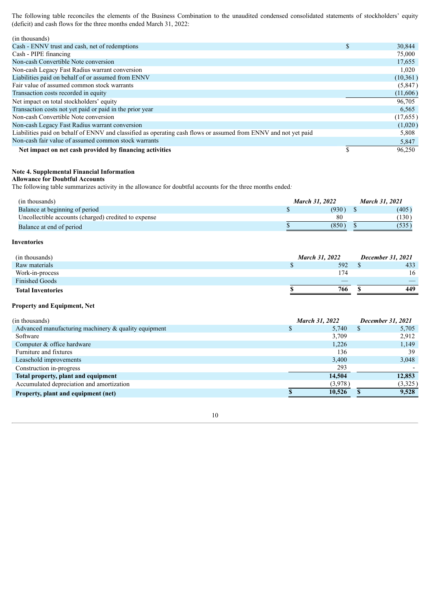The following table reconciles the elements of the Business Combination to the unaudited condensed consolidated statements of stockholders' equity (deficit) and cash flows for the three months ended March 31, 2022:

| (in thousands)                                                                                                  |    |           |
|-----------------------------------------------------------------------------------------------------------------|----|-----------|
| Cash - ENNV trust and cash, net of redemptions                                                                  | S. | 30,844    |
| Cash - PIPE financing                                                                                           |    | 75,000    |
| Non-cash Convertible Note conversion                                                                            |    | 17,655    |
| Non-cash Legacy Fast Radius warrant conversion                                                                  |    | 1,020     |
| Liabilities paid on behalf of or assumed from ENNV                                                              |    | (10, 361) |
| Fair value of assumed common stock warrants                                                                     |    | (5,847)   |
| Transaction costs recorded in equity                                                                            |    | (11,606)  |
| Net impact on total stockholders' equity                                                                        |    | 96,705    |
| Transaction costs not yet paid or paid in the prior year                                                        |    | 6.565     |
| Non-cash Convertible Note conversion                                                                            |    | (17,655)  |
| Non-cash Legacy Fast Radius warrant conversion                                                                  |    | (1,020)   |
| Liabilities paid on behalf of ENNV and classified as operating cash flows or assumed from ENNV and not yet paid |    | 5,808     |
| Non-cash fair value of assumed common stock warrants                                                            |    | 5,847     |
| Net impact on net cash provided by financing activities                                                         |    | 96,250    |

# **Note 4. Supplemental Financial Information**

# **Allowance for Doubtful Accounts**

The following table summarizes activity in the allowance for doubtful accounts for the three months ended*:*

| (in thousands)                                       | <b>March 31, 2022</b> | <b>March 31, 2021</b> |
|------------------------------------------------------|-----------------------|-----------------------|
| Balance at beginning of period                       | (930)                 | (405)                 |
| Uncollectible accounts (charged) credited to expense | 80                    | (130)                 |
| Balance at end of period                             | (850)                 |                       |

# **Inventories**

| (in thousands)           | <b>March 31, 2022</b> | December 31, 2021 |     |  |
|--------------------------|-----------------------|-------------------|-----|--|
| Raw materials            | 592                   |                   | 433 |  |
| Work-in-process          | 174                   |                   | 16  |  |
| <b>Finished Goods</b>    |                       |                   |     |  |
| <b>Total Inventories</b> | 766                   |                   | 449 |  |

# **Property and Equipment, Net**

| (in thousands)                                       | <b>March 31, 2022</b> | December 31, 2021 |
|------------------------------------------------------|-----------------------|-------------------|
| Advanced manufacturing machinery & quality equipment | 5,740                 | 5,705             |
| Software                                             | 3,709                 | 2,912             |
| Computer & office hardware                           | 1,226                 | 1,149             |
| Furniture and fixtures                               | 136                   | 39                |
| Leasehold improvements                               | 3,400                 | 3,048             |
| Construction in-progress                             | 293                   |                   |
| Total property, plant and equipment                  | 14.504                | 12,853            |
| Accumulated depreciation and amortization            | (3,978)               | (3,325)           |
| Property, plant and equipment (net)                  | 10.526                | 9,528             |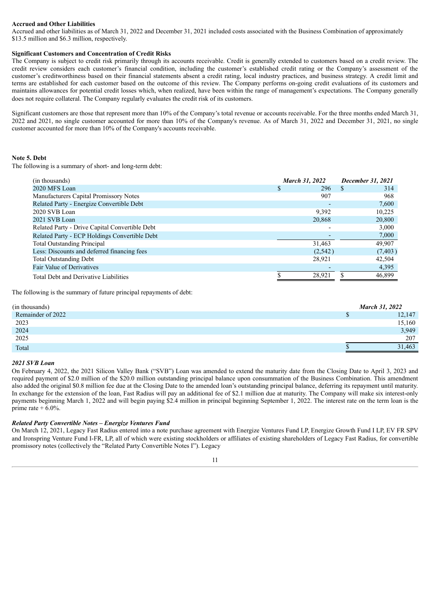# **Accrued and Other Liabilities**

Accrued and other liabilities as of March 31, 2022 and December 31, 2021 included costs associated with the Business Combination of approximately \$13.5 million and \$6.3 million, respectively.

#### **Significant Customers and Concentration of Credit Risks**

The Company is subject to credit risk primarily through its accounts receivable. Credit is generally extended to customers based on a credit review. The credit review considers each customer's financial condition, including the customer's established credit rating or the Company's assessment of the customer's creditworthiness based on their financial statements absent a credit rating, local industry practices, and business strategy. A credit limit and terms are established for each customer based on the outcome of this review. The Company performs on-going credit evaluations of its customers and maintains allowances for potential credit losses which, when realized, have been within the range of management's expectations. The Company generally does not require collateral. The Company regularly evaluates the credit risk of its customers.

Significant customers are those that represent more than 10% of the Company's total revenue or accounts receivable. For the three months ended March 31, 2022 and 2021, no single customer accounted for more than 10% of the Company's revenue. As of March 31, 2022 and December 31, 2021, no single customer accounted for more than 10% of the Company's accounts receivable.

# **Note 5. Debt**

The following is a summary of short- and long-term debt:

| (in thousands)                                 | <b>March 31, 2022</b> |         | December 31, 2021 |          |  |
|------------------------------------------------|-----------------------|---------|-------------------|----------|--|
| 2020 MFS Loan                                  | S                     | 296     | \$.               | 314      |  |
| Manufacturers Capital Promissory Notes         |                       | 907     |                   | 968      |  |
| Related Party - Energize Convertible Debt      |                       |         |                   | 7,600    |  |
| 2020 SVB Loan                                  |                       | 9,392   |                   | 10,225   |  |
| 2021 SVB Loan                                  |                       | 20,868  |                   | 20,800   |  |
| Related Party - Drive Capital Convertible Debt |                       |         |                   | 3,000    |  |
| Related Party - ECP Holdings Convertible Debt  |                       |         |                   | 7,000    |  |
| <b>Total Outstanding Principal</b>             |                       | 31,463  |                   | 49.907   |  |
| Less: Discounts and deferred financing fees    |                       | (2,542) |                   | (7, 403) |  |
| <b>Total Outstanding Debt</b>                  |                       | 28,921  |                   | 42,504   |  |
| Fair Value of Derivatives                      |                       |         |                   | 4,395    |  |
| Total Debt and Derivative Liabilities          |                       | 28,921  |                   | 46,899   |  |

The following is the summary of future principal repayments of debt:

| (in thousands)    | <b>March 31, 2022</b> |
|-------------------|-----------------------|
| Remainder of 2022 | 12,147                |
| 2023              | 15,160                |
| 2024              | 3,949                 |
| 2025              | 207                   |
| Total             | 31,463                |

#### *2021 SVB Loan*

On February 4, 2022, the 2021 Silicon Valley Bank ("SVB") Loan was amended to extend the maturity date from the Closing Date to April 3, 2023 and required payment of \$2.0 million of the \$20.0 million outstanding principal balance upon consummation of the Business Combination. This amendment also added the original \$0.8 million fee due at the Closing Date to the amended loan's outstanding principal balance, deferring its repayment until maturity. In exchange for the extension of the loan, Fast Radius will pay an additional fee of \$2.1 million due at maturity. The Company will make six interest-only payments beginning March 1, 2022 and will begin paying \$2.4 million in principal beginning September 1, 2022. The interest rate on the term loan is the prime rate  $+ 6.0\%$ .

#### *Related Party Convertible Notes – Energize Ventures Fund*

On March 12, 2021, Legacy Fast Radius entered into a note purchase agreement with Energize Ventures Fund LP, Energize Growth Fund I LP, EV FR SPV and Ironspring Venture Fund I-FR, LP, all of which were existing stockholders or affiliates of existing shareholders of Legacy Fast Radius, for convertible promissory notes (collectively the "Related Party Convertible Notes I"). Legacy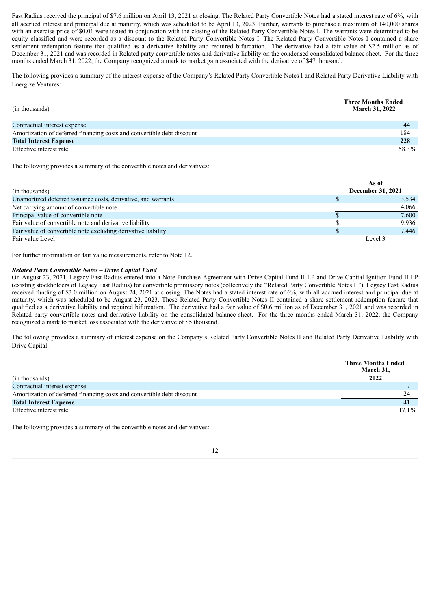Fast Radius received the principal of \$7.6 million on April 13, 2021 at closing. The Related Party Convertible Notes had a stated interest rate of 6%, with all accrued interest and principal due at maturity, which was scheduled to be April 13, 2023. Further, warrants to purchase a maximum of 140,000 shares with an exercise price of \$0.01 were issued in conjunction with the closing of the Related Party Convertible Notes I. The warrants were determined to be equity classified and were recorded as a discount to the Related Party Convertible Notes I. The Related Party Convertible Notes I contained a share settlement redemption feature that qualified as a derivative liability and required bifurcation. The derivative had a fair value of \$2.5 million as of December 31, 2021 and was recorded in Related party convertible notes and derivative liability on the condensed consolidated balance sheet. For the three months ended March 31, 2022, the Company recognized a mark to market gain associated with the derivative of \$47 thousand.

The following provides a summary of the interest expense of the Company's Related Party Convertible Notes I and Related Party Derivative Liability with Energize Ventures:

| (in thousands)                                                         | <b>Three Months Ended</b><br><b>March 31, 2022</b> |
|------------------------------------------------------------------------|----------------------------------------------------|
| Contractual interest expense                                           | 44                                                 |
| Amortization of deferred financing costs and convertible debt discount | 184                                                |
| <b>Total Interest Expense</b>                                          | 228                                                |
| Effective interest rate                                                | 58.3%                                              |

The following provides a summary of the convertible notes and derivatives:

|                                                               | As of |                   |  |  |
|---------------------------------------------------------------|-------|-------------------|--|--|
| (in thousands)                                                |       | December 31, 2021 |  |  |
| Unamortized deferred issuance costs, derivative, and warrants |       | 3.534             |  |  |
| Net carrying amount of convertible note                       |       | 4.066             |  |  |
| Principal value of convertible note                           |       | 7,600             |  |  |
| Fair value of convertible note and derivative liability       |       | 9.936             |  |  |
| Fair value of convertible note excluding derivative liability |       | 7.446             |  |  |
| Fair value Level                                              |       | Level 3           |  |  |

For further information on fair value measurements, refer to Note 12.

# *Related Party Convertible Notes – Drive Capital Fund*

On August 23, 2021, Legacy Fast Radius entered into a Note Purchase Agreement with Drive Capital Fund II LP and Drive Capital Ignition Fund II LP (existing stockholders of Legacy Fast Radius) for convertible promissory notes (collectively the "Related Party Convertible Notes II"). Legacy Fast Radius received funding of \$3.0 million on August 24, 2021 at closing. The Notes had a stated interest rate of 6%, with all accrued interest and principal due at maturity, which was scheduled to be August 23, 2023. These Related Party Convertible Notes II contained a share settlement redemption feature that qualified as a derivative liability and required bifurcation. The derivative had a fair value of \$0.6 million as of December 31, 2021 and was recorded in Related party convertible notes and derivative liability on the consolidated balance sheet. For the three months ended March 31, 2022, the Company recognized a mark to market loss associated with the derivative of \$5 thousand.

The following provides a summary of interest expense on the Company's Related Party Convertible Notes II and Related Party Derivative Liability with Drive Capital:

|                                                                        | <b>Three Months Ended</b><br>March 31, |
|------------------------------------------------------------------------|----------------------------------------|
| (in thousands)                                                         | 2022                                   |
| Contractual interest expense                                           |                                        |
| Amortization of deferred financing costs and convertible debt discount | 24                                     |
| <b>Total Interest Expense</b>                                          | 41                                     |
| Effective interest rate                                                | $17.1\%$                               |

The following provides a summary of the convertible notes and derivatives: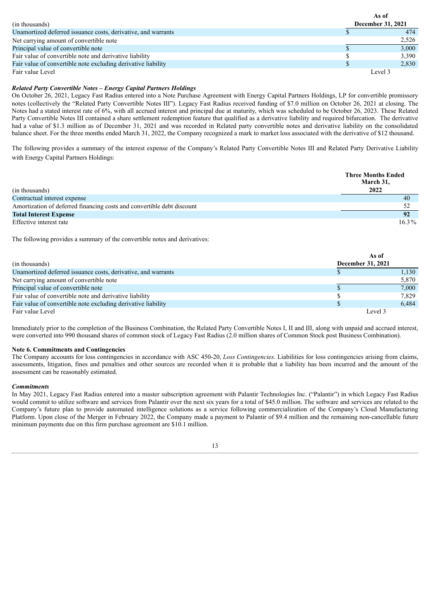|                                                               | As of                    |       |
|---------------------------------------------------------------|--------------------------|-------|
| (in thousands)                                                | <b>December 31, 2021</b> |       |
| Unamortized deferred issuance costs, derivative, and warrants |                          | 474   |
| Net carrying amount of convertible note                       |                          | 2,526 |
| Principal value of convertible note                           |                          | 3,000 |
| Fair value of convertible note and derivative liability       |                          | 3,390 |
| Fair value of convertible note excluding derivative liability |                          | 2,830 |
| Fair value Level                                              | Level 3                  |       |

# *Related Party Convertible Notes – Energy Capital Partners Holdings*

On October 26, 2021, Legacy Fast Radius entered into a Note Purchase Agreement with Energy Capital Partners Holdings, LP for convertible promissory notes (collectively the "Related Party Convertible Notes III"). Legacy Fast Radius received funding of \$7.0 million on October 26, 2021 at closing. The Notes had a stated interest rate of 6%, with all accrued interest and principal due at maturity, which was scheduled to be October 26, 2023. These Related Party Convertible Notes III contained a share settlement redemption feature that qualified as a derivative liability and required bifurcation. The derivative had a value of \$1.3 million as of December 31, 2021 and was recorded in Related party convertible notes and derivative liability on the consolidated balance sheet. For the three months ended March 31, 2022, the Company recognized a mark to market loss associated with the derivative of \$12 thousand.

The following provides a summary of the interest expense of the Company's Related Party Convertible Notes III and Related Party Derivative Liability with Energy Capital Partners Holdings:

| (in thousands)                                                         | <b>Three Months Ended</b><br>March 31,<br>2022 |
|------------------------------------------------------------------------|------------------------------------------------|
| Contractual interest expense                                           | 40                                             |
| Amortization of deferred financing costs and convertible debt discount | 52                                             |
| <b>Total Interest Expense</b>                                          | 92                                             |
| Effective interest rate                                                | $16.3\%$                                       |

The following provides a summary of the convertible notes and derivatives:

|                                                               | As of             |         |  |  |
|---------------------------------------------------------------|-------------------|---------|--|--|
| (in thousands)                                                | December 31, 2021 |         |  |  |
| Unamortized deferred issuance costs, derivative, and warrants |                   | 1,130   |  |  |
| Net carrying amount of convertible note                       |                   | 5,870   |  |  |
| Principal value of convertible note                           |                   | 7.000   |  |  |
| Fair value of convertible note and derivative liability       |                   | 7.829   |  |  |
| Fair value of convertible note excluding derivative liability | S                 | 6.484   |  |  |
| Fair value Level                                              |                   | Level 3 |  |  |

Immediately prior to the completion of the Business Combination, the Related Party Convertible Notes I, II and III, along with unpaid and accrued interest, were converted into 990 thousand shares of common stock of Legacy Fast Radius (2.0 million shares of Common Stock post Business Combination).

# **Note 6. Commitments and Contingencies**

The Company accounts for loss contingencies in accordance with ASC 450-20, *Loss Contingencies*. Liabilities for loss contingencies arising from claims, assessments, litigation, fines and penalties and other sources are recorded when it is probable that a liability has been incurred and the amount of the assessment can be reasonably estimated.

#### *Commitments*

In May 2021, Legacy Fast Radius entered into a master subscription agreement with Palantir Technologies Inc. ("Palantir") in which Legacy Fast Radius would commit to utilize software and services from Palantir over the next six years for a total of \$45.0 million. The software and services are related to the Company's future plan to provide automated intelligence solutions as a service following commercialization of the Company's Cloud Manufacturing Platform. Upon close of the Merger in February 2022, the Company made a payment to Palantir of \$9.4 million and the remaining non-cancellable future minimum payments due on this firm purchase agreement are \$10.1 million.

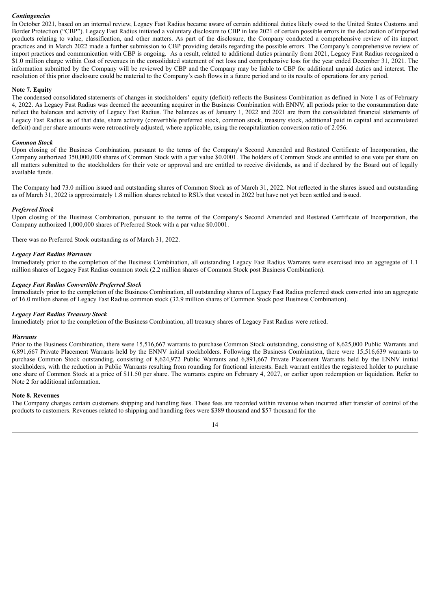# *Contingencies*

In October 2021, based on an internal review, Legacy Fast Radius became aware of certain additional duties likely owed to the United States Customs and Border Protection ("CBP"). Legacy Fast Radius initiated a voluntary disclosure to CBP in late 2021 of certain possible errors in the declaration of imported products relating to value, classification, and other matters. As part of the disclosure, the Company conducted a comprehensive review of its import practices and in March 2022 made a further submission to CBP providing details regarding the possible errors. The Company's comprehensive review of import practices and communication with CBP is ongoing. As a result, related to additional duties primarily from 2021, Legacy Fast Radius recognized a \$1.0 million charge within Cost of revenues in the consolidated statement of net loss and comprehensive loss for the year ended December 31, 2021. The information submitted by the Company will be reviewed by CBP and the Company may be liable to CBP for additional unpaid duties and interest. The resolution of this prior disclosure could be material to the Company's cash flows in a future period and to its results of operations for any period.

# **Note 7. Equity**

The condensed consolidated statements of changes in stockholders' equity (deficit) reflects the Business Combination as defined in Note 1 as of February 4, 2022. As Legacy Fast Radius was deemed the accounting acquirer in the Business Combination with ENNV, all periods prior to the consummation date reflect the balances and activity of Legacy Fast Radius. The balances as of January 1, 2022 and 2021 are from the consolidated financial statements of Legacy Fast Radius as of that date, share activity (convertible preferred stock, common stock, treasury stock, additional paid in capital and accumulated deficit) and per share amounts were retroactively adjusted, where applicable, using the recapitalization conversion ratio of 2.056.

# *Common Stock*

Upon closing of the Business Combination, pursuant to the terms of the Company's Second Amended and Restated Certificate of Incorporation, the Company authorized 350,000,000 shares of Common Stock with a par value \$0.0001. The holders of Common Stock are entitled to one vote per share on all matters submitted to the stockholders for their vote or approval and are entitled to receive dividends, as and if declared by the Board out of legally available funds.

The Company had 73.0 million issued and outstanding shares of Common Stock as of March 31, 2022. Not reflected in the shares issued and outstanding as of March 31, 2022 is approximately 1.8 million shares related to RSUs that vested in 2022 but have not yet been settled and issued.

# *Preferred Stock*

Upon closing of the Business Combination, pursuant to the terms of the Company's Second Amended and Restated Certificate of Incorporation, the Company authorized 1,000,000 shares of Preferred Stock with a par value \$0.0001.

There was no Preferred Stock outstanding as of March 31, 2022.

# *Legacy Fast Radius Warrants*

Immediately prior to the completion of the Business Combination, all outstanding Legacy Fast Radius Warrants were exercised into an aggregate of 1.1 million shares of Legacy Fast Radius common stock (2.2 million shares of Common Stock post Business Combination).

# *Legacy Fast Radius Convertible Preferred Stock*

Immediately prior to the completion of the Business Combination, all outstanding shares of Legacy Fast Radius preferred stock converted into an aggregate of 16.0 million shares of Legacy Fast Radius common stock (32.9 million shares of Common Stock post Business Combination).

# *Legacy Fast Radius Treasury Stock*

Immediately prior to the completion of the Business Combination, all treasury shares of Legacy Fast Radius were retired.

# *Warrants*

Prior to the Business Combination, there were 15,516,667 warrants to purchase Common Stock outstanding, consisting of 8,625,000 Public Warrants and 6,891,667 Private Placement Warrants held by the ENNV initial stockholders. Following the Business Combination, there were 15,516,639 warrants to purchase Common Stock outstanding, consisting of 8,624,972 Public Warrants and 6,891,667 Private Placement Warrants held by the ENNV initial stockholders, with the reduction in Public Warrants resulting from rounding for fractional interests. Each warrant entitles the registered holder to purchase one share of Common Stock at a price of \$11.50 per share. The warrants expire on February 4, 2027, or earlier upon redemption or liquidation. Refer to Note 2 for additional information.

# **Note 8. Revenues**

The Company charges certain customers shipping and handling fees. These fees are recorded within revenue when incurred after transfer of control of the products to customers. Revenues related to shipping and handling fees were \$389 thousand and \$57 thousand for the

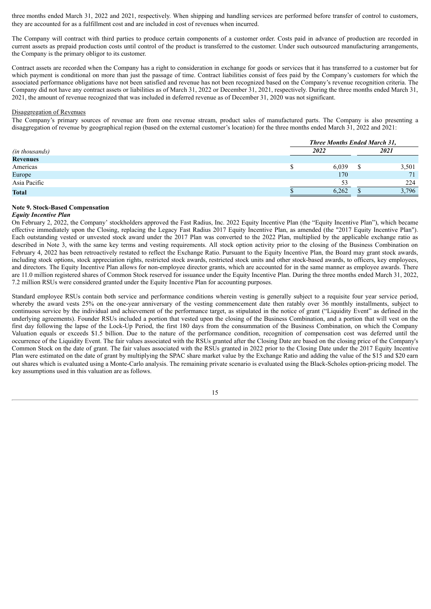three months ended March 31, 2022 and 2021, respectively. When shipping and handling services are performed before transfer of control to customers, they are accounted for as a fulfillment cost and are included in cost of revenues when incurred.

The Company will contract with third parties to produce certain components of a customer order. Costs paid in advance of production are recorded in current assets as prepaid production costs until control of the product is transferred to the customer. Under such outsourced manufacturing arrangements, the Company is the primary obligor to its customer.

Contract assets are recorded when the Company has a right to consideration in exchange for goods or services that it has transferred to a customer but for which payment is conditional on more than just the passage of time. Contract liabilities consist of fees paid by the Company's customers for which the associated performance obligations have not been satisfied and revenue has not been recognized based on the Company's revenue recognition criteria. The Company did not have any contract assets or liabilities as of March 31, 2022 or December 31, 2021, respectively. During the three months ended March 31, 2021, the amount of revenue recognized that was included in deferred revenue as of December 31, 2020 was not significant.

#### Disaggregation of Revenues

The Company's primary sources of revenue are from one revenue stream, product sales of manufactured parts. The Company is also presenting a disaggregation of revenue by geographical region (based on the external customer's location) for the three months ended March 31, 2022 and 2021:

|                 | <b>Three Months Ended March 31,</b> |       |  |       |  |
|-----------------|-------------------------------------|-------|--|-------|--|
| (in thousands)  | 2022                                |       |  | 2021  |  |
| <b>Revenues</b> |                                     |       |  |       |  |
| Americas        |                                     | 6,039 |  | 3,501 |  |
| Europe          |                                     | 170   |  | 71    |  |
| Asia Pacific    |                                     | 53    |  | 224   |  |
| <b>Total</b>    |                                     | 6,262 |  | 3,796 |  |

# **Note 9. Stock-Based Compensation**

#### *Equity Incentive Plan*

On February 2, 2022, the Company' stockholders approved the Fast Radius, Inc. 2022 Equity Incentive Plan (the "Equity Incentive Plan"), which became effective immediately upon the Closing, replacing the Legacy Fast Radius 2017 Equity Incentive Plan, as amended (the "2017 Equity Incentive Plan"). Each outstanding vested or unvested stock award under the 2017 Plan was converted to the 2022 Plan, multiplied by the applicable exchange ratio as described in Note 3, with the same key terms and vesting requirements. All stock option activity prior to the closing of the Business Combination on February 4, 2022 has been retroactively restated to reflect the Exchange Ratio. Pursuant to the Equity Incentive Plan, the Board may grant stock awards, including stock options, stock appreciation rights, restricted stock awards, restricted stock units and other stock-based awards, to officers, key employees, and directors. The Equity Incentive Plan allows for non-employee director grants, which are accounted for in the same manner as employee awards. There are 11.0 million registered shares of Common Stock reserved for issuance under the Equity Incentive Plan. During the three months ended March 31, 2022, 7.2 million RSUs were considered granted under the Equity Incentive Plan for accounting purposes.

Standard employee RSUs contain both service and performance conditions wherein vesting is generally subject to a requisite four year service period, whereby the award vests 25% on the one-year anniversary of the vesting commencement date then ratably over 36 monthly installments, subject to continuous service by the individual and achievement of the performance target, as stipulated in the notice of grant ("Liquidity Event" as defined in the underlying agreements). Founder RSUs included a portion that vested upon the closing of the Business Combination, and a portion that will vest on the first day following the lapse of the Lock-Up Period, the first 180 days from the consummation of the Business Combination, on which the Company Valuation equals or exceeds \$1.5 billion. Due to the nature of the performance condition, recognition of compensation cost was deferred until the occurrence of the Liquidity Event. The fair values associated with the RSUs granted after the Closing Date are based on the closing price of the Company's Common Stock on the date of grant. The fair values associated with the RSUs granted in 2022 prior to the Closing Date under the 2017 Equity Incentive Plan were estimated on the date of grant by multiplying the SPAC share market value by the Exchange Ratio and adding the value of the \$15 and \$20 earn out shares which is evaluated using a Monte-Carlo analysis. The remaining private scenario is evaluated using the Black-Scholes option-pricing model. The key assumptions used in this valuation are as follows.

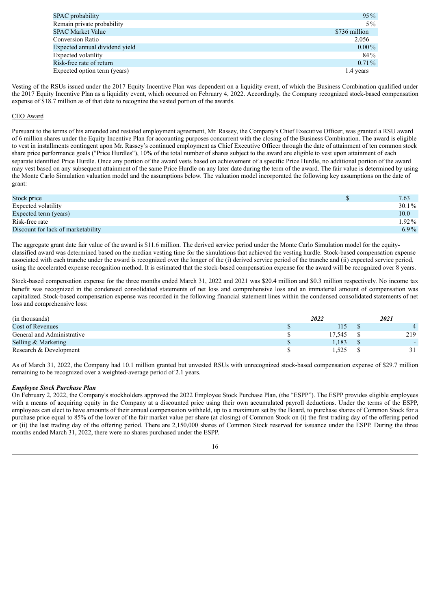| SPAC probability               | $95\%$        |
|--------------------------------|---------------|
| Remain private probability     | $5\%$         |
| <b>SPAC Market Value</b>       | \$736 million |
| <b>Conversion Ratio</b>        | 2.056         |
| Expected annual dividend yield | $0.00\%$      |
| Expected volatility            | 84%           |
| Risk-free rate of return       | $0.71\%$      |
| Expected option term (years)   | 1.4 years     |

Vesting of the RSUs issued under the 2017 Equity Incentive Plan was dependent on a liquidity event, of which the Business Combination qualified under the 2017 Equity Incentive Plan as a liquidity event, which occurred on February 4, 2022. Accordingly, the Company recognized stock-based compensation expense of \$18.7 million as of that date to recognize the vested portion of the awards.

# CEO Award

Pursuant to the terms of his amended and restated employment agreement, Mr. Rassey, the Company's Chief Executive Officer, was granted a RSU award of 6 million shares under the Equity Incentive Plan for accounting purposes concurrent with the closing of the Business Combination. The award is eligible to vest in installments contingent upon Mr. Rassey's continued employment as Chief Executive Officer through the date of attainment of ten common stock share price performance goals ("Price Hurdles"), 10% of the total number of shares subject to the award are eligible to vest upon attainment of each separate identified Price Hurdle. Once any portion of the award vests based on achievement of a specific Price Hurdle, no additional portion of the award may vest based on any subsequent attainment of the same Price Hurdle on any later date during the term of the award. The fair value is determined by using the Monte Carlo Simulation valuation model and the assumptions below. The valuation model incorporated the following key assumptions on the date of grant:

| Stock price                        | 7.63     |
|------------------------------------|----------|
| Expected volatility                | $30.1\%$ |
| Expected term (years)              | 10.0     |
| Risk-free rate                     | $1.92\%$ |
| Discount for lack of marketability | $6.9\%$  |

The aggregate grant date fair value of the award is \$11.6 million. The derived service period under the Monte Carlo Simulation model for the equityclassified award was determined based on the median vesting time for the simulations that achieved the vesting hurdle. Stock-based compensation expense associated with each tranche under the award is recognized over the longer of the (i) derived service period of the tranche and (ii) expected service period, using the accelerated expense recognition method. It is estimated that the stock-based compensation expense for the award will be recognized over 8 years.

Stock-based compensation expense for the three months ended March 31, 2022 and 2021 was \$20.4 million and \$0.3 million respectively. No income tax benefit was recognized in the condensed consolidated statements of net loss and comprehensive loss and an immaterial amount of compensation was capitalized. Stock-based compensation expense was recorded in the following financial statement lines within the condensed consolidated statements of net loss and comprehensive loss:

| (in thousands)             | 2022   | 2021                     |
|----------------------------|--------|--------------------------|
| Cost of Revenues           |        |                          |
| General and Administrative | 17.545 | 219                      |
| Selling $&$ Marketing      | .183   | $\overline{\phantom{0}}$ |
| Research & Development     | .525   |                          |

As of March 31, 2022, the Company had 10.1 million granted but unvested RSUs with unrecognized stock-based compensation expense of \$29.7 million remaining to be recognized over a weighted-average period of 2.1 years.

# *Employee Stock Purchase Plan*

On February 2, 2022, the Company's stockholders approved the 2022 Employee Stock Purchase Plan, (the "ESPP"). The ESPP provides eligible employees with a means of acquiring equity in the Company at a discounted price using their own accumulated payroll deductions. Under the terms of the ESPP, employees can elect to have amounts of their annual compensation withheld, up to a maximum set by the Board, to purchase shares of Common Stock for a purchase price equal to 85% of the lower of the fair market value per share (at closing) of Common Stock on (i) the first trading day of the offering period or (ii) the last trading day of the offering period. There are 2,150,000 shares of Common Stock reserved for issuance under the ESPP. During the three months ended March 31, 2022, there were no shares purchased under the ESPP.

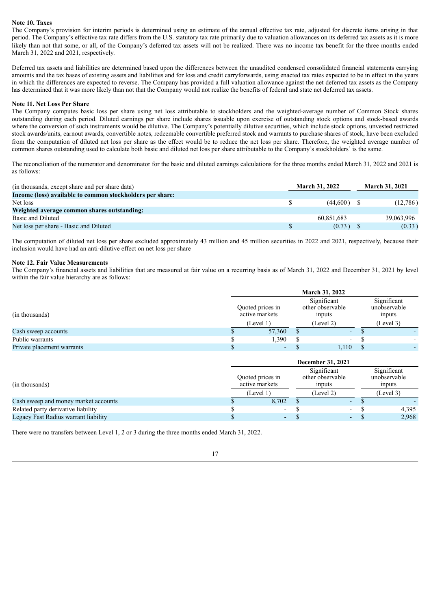# **Note 10. Taxes**

The Company's provision for interim periods is determined using an estimate of the annual effective tax rate, adjusted for discrete items arising in that period. The Company's effective tax rate differs from the U.S. statutory tax rate primarily due to valuation allowances on its deferred tax assets as it is more likely than not that some, or all, of the Company's deferred tax assets will not be realized. There was no income tax benefit for the three months ended March 31, 2022 and 2021, respectively.

Deferred tax assets and liabilities are determined based upon the differences between the unaudited condensed consolidated financial statements carrying amounts and the tax bases of existing assets and liabilities and for loss and credit carryforwards, using enacted tax rates expected to be in effect in the years in which the differences are expected to reverse. The Company has provided a full valuation allowance against the net deferred tax assets as the Company has determined that it was more likely than not that the Company would not realize the benefits of federal and state net deferred tax assets.

#### **Note 11. Net Loss Per Share**

The Company computes basic loss per share using net loss attributable to stockholders and the weighted-average number of Common Stock shares outstanding during each period. Diluted earnings per share include shares issuable upon exercise of outstanding stock options and stock-based awards where the conversion of such instruments would be dilutive. The Company's potentially dilutive securities, which include stock options, unvested restricted stock awards/units, earnout awards, convertible notes, redeemable convertible preferred stock and warrants to purchase shares of stock, have been excluded from the computation of diluted net loss per share as the effect would be to reduce the net loss per share. Therefore, the weighted average number of common shares outstanding used to calculate both basic and diluted net loss per share attributable to the Company's stockholders' is the same.

The reconciliation of the numerator and denominator for the basic and diluted earnings calculations for the three months ended March 31, 2022 and 2021 is as follows:

| (in thousands, except share and per share data)           | <b>March 31, 2022</b> |               | <b>March 31, 2021</b> |            |
|-----------------------------------------------------------|-----------------------|---------------|-----------------------|------------|
| Income (loss) available to common stockholders per share: |                       |               |                       |            |
| Net loss                                                  |                       | $(44.600)$ \$ |                       | (12,786)   |
| Weighted average common shares outstanding:               |                       |               |                       |            |
| Basic and Diluted                                         |                       | 60,851,683    |                       | 39,063,996 |
| Net loss per share - Basic and Diluted                    |                       | (0.73)        |                       | (0.33)     |

The computation of diluted net loss per share excluded approximately 43 million and 45 million securities in 2022 and 2021, respectively, because their inclusion would have had an anti-dilutive effect on net loss per share

#### **Note 12. Fair Value Measurements**

The Company's financial assets and liabilities that are measured at fair value on a recurring basis as of March 31, 2022 and December 31, 2021 by level within the fair value hierarchy are as follows:

|                            |  | <b>March 31, 2022</b>              |  |                                                  |                                       |           |  |  |  |  |  |  |
|----------------------------|--|------------------------------------|--|--------------------------------------------------|---------------------------------------|-----------|--|--|--|--|--|--|
| (in thousands)             |  | Quoted prices in<br>active markets |  | Significant<br>other observable<br><i>n</i> puts | Significant<br>unobservable<br>inputs |           |  |  |  |  |  |  |
|                            |  | (Level 1)                          |  | (Level 2)                                        |                                       | (Level 3) |  |  |  |  |  |  |
| Cash sweep accounts        |  | 57,360                             |  | $\overline{\phantom{0}}$                         |                                       |           |  |  |  |  |  |  |
| Public warrants            |  | 1,390                              |  | ۰                                                |                                       |           |  |  |  |  |  |  |
| Private placement warrants |  | $\overline{\phantom{a}}$           |  | 1,110                                            |                                       |           |  |  |  |  |  |  |

|                                      | <b>December 31, 2021</b>           |  |                                                  |                                              |           |  |  |  |  |  |  |
|--------------------------------------|------------------------------------|--|--------------------------------------------------|----------------------------------------------|-----------|--|--|--|--|--|--|
| (in thousands)                       | Quoted prices in<br>active markets |  | Significant<br>other observable<br><i>inputs</i> | Significant<br>unobservable<br><i>inputs</i> |           |  |  |  |  |  |  |
|                                      | (Level 1)                          |  | (Level 2)                                        |                                              | (Level 3) |  |  |  |  |  |  |
| Cash sweep and money market accounts | 8.702                              |  | $\overline{\phantom{0}}$                         |                                              |           |  |  |  |  |  |  |
| Related party derivative liability   | $\overline{\phantom{a}}$           |  | $\overline{\phantom{a}}$                         |                                              | 4,395     |  |  |  |  |  |  |
| Legacy Fast Radius warrant liability | $\overline{\phantom{0}}$           |  | $\overline{\phantom{a}}$                         |                                              | 2,968     |  |  |  |  |  |  |

There were no transfers between Level 1, 2 or 3 during the three months ended March 31, 2022.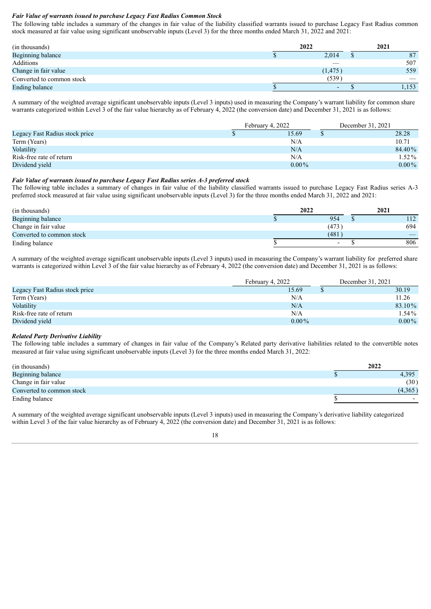# *Fair Value of warrants issued to purchase Legacy Fast Radius Common Stock*

The following table includes a summary of the changes in fair value of the liability classified warrants issued to purchase Legacy Fast Radius common stock measured at fair value using significant unobservable inputs (Level 3) for the three months ended March 31, 2022 and 2021:

| (in thousands)            | 2022    |  | 2021  |
|---------------------------|---------|--|-------|
| Beginning balance         | 2,014   |  | 87    |
| Additions                 |         |  | 507   |
| Change in fair value      | (1,475) |  | 559   |
| Converted to common stock | (539)   |  |       |
| <b>Ending balance</b>     | -       |  | 1,153 |

A summary of the weighted average significant unobservable inputs (Level 3 inputs) used in measuring the Company's warrant liability for common share warrants categorized within Level 3 of the fair value hierarchy as of February 4, 2022 (the conversion date) and December 31, 2021 is as follows:

|                                | February 4, 2022 | December 31, 2021 |
|--------------------------------|------------------|-------------------|
| Legacy Fast Radius stock price | 15.69            | 28.28             |
| Term (Years)                   | N/A              | 10.71             |
| Volatility                     | N/A              | 84.40%            |
| Risk-free rate of return       | N/A              | $1.52\%$          |
| Dividend yield                 | $0.00\%$         | $0.00\%$          |

#### *Fair Value of warrants issued to purchase Legacy Fast Radius series A-3 preferred stock*

The following table includes a summary of changes in fair value of the liability classified warrants issued to purchase Legacy Fast Radius series A-3 preferred stock measured at fair value using significant unobservable inputs (Level 3) for the three months ended March 31, 2022 and 2021:

| (in thousands)            | 2022 |                          | 2021 |
|---------------------------|------|--------------------------|------|
| Beginning balance         |      | 954                      |      |
| Change in fair value      |      | (473)                    | 694  |
| Converted to common stock |      | (481                     |      |
| Ending balance            |      | $\overline{\phantom{0}}$ | 806  |

A summary of the weighted average significant unobservable inputs (Level 3 inputs) used in measuring the Company's warrant liability for preferred share warrants is categorized within Level 3 of the fair value hierarchy as of February 4, 2022 (the conversion date) and December 31, 2021 is as follows:

|                                | February 4, 2022 | December 31, 2021 |          |
|--------------------------------|------------------|-------------------|----------|
| Legacy Fast Radius stock price | 15.69            |                   | 30.19    |
| Term (Years)                   | N/A              |                   | 11.26    |
| Volatility                     | N/A              |                   | 83.10%   |
| Risk-free rate of return       | N/A              |                   | $1.54\%$ |
| Dividend vield                 | $0.00\%$         |                   | $0.00\%$ |

#### *Related Party Derivative Liability*

The following table includes a summary of changes in fair value of the Company's Related party derivative liabilities related to the convertible notes measured at fair value using significant unobservable inputs (Level 3) for the three months ended March 31, 2022:

| (in thousands)            | 2022    |
|---------------------------|---------|
| Beginning balance         | 4,395   |
| Change in fair value      | (30)    |
| Converted to common stock | (4,365) |
| Ending balance            |         |

A summary of the weighted average significant unobservable inputs (Level 3 inputs) used in measuring the Company's derivative liability categorized within Level 3 of the fair value hierarchy as of February 4, 2022 (the conversion date) and December 31, 2021 is as follows:

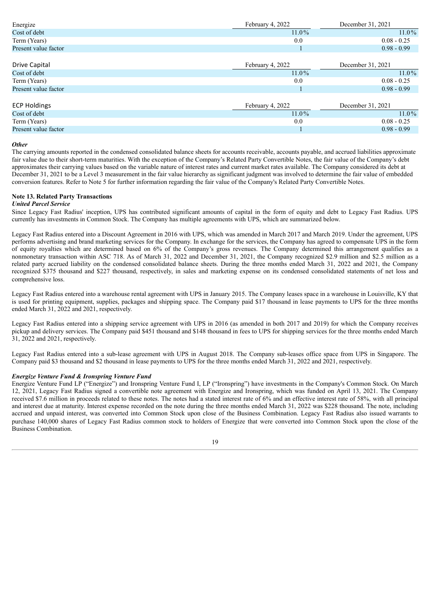| Energize             | February 4, 2022 | December 31, 2021 |
|----------------------|------------------|-------------------|
| Cost of debt         | $11.0\%$         | $11.0\%$          |
| Term (Years)         | 0.0              | $0.08 - 0.25$     |
| Present value factor |                  | $0.98 - 0.99$     |
|                      |                  |                   |
| Drive Capital        | February 4, 2022 | December 31, 2021 |
| Cost of debt         | $11.0\%$         | $11.0\%$          |
| Term (Years)         | 0.0              | $0.08 - 0.25$     |
| Present value factor |                  | $0.98 - 0.99$     |
|                      |                  |                   |
| <b>ECP Holdings</b>  | February 4, 2022 | December 31, 2021 |
| Cost of debt         | $11.0\%$         | $11.0\%$          |
| Term (Years)         | 0.0              | $0.08 - 0.25$     |
| Present value factor |                  | $0.98 - 0.99$     |
|                      |                  |                   |

#### *Other*

The carrying amounts reported in the condensed consolidated balance sheets for accounts receivable, accounts payable, and accrued liabilities approximate fair value due to their short-term maturities. With the exception of the Company's Related Party Convertible Notes, the fair value of the Company's debt approximates their carrying values based on the variable nature of interest rates and current market rates available. The Company considered its debt at December 31, 2021 to be a Level 3 measurement in the fair value hierarchy as significant judgment was involved to determine the fair value of embedded conversion features. Refer to Note 5 for further information regarding the fair value of the Company's Related Party Convertible Notes.

# **Note 13. Related Party Transactions**

# *United Parcel Service*

Since Legacy Fast Radius' inception, UPS has contributed significant amounts of capital in the form of equity and debt to Legacy Fast Radius. UPS currently has investments in Common Stock. The Company has multiple agreements with UPS, which are summarized below.

Legacy Fast Radius entered into a Discount Agreement in 2016 with UPS, which was amended in March 2017 and March 2019. Under the agreement, UPS performs advertising and brand marketing services for the Company. In exchange for the services, the Company has agreed to compensate UPS in the form of equity royalties which are determined based on 6% of the Company's gross revenues. The Company determined this arrangement qualifies as a nonmonetary transaction within ASC 718. As of March 31, 2022 and December 31, 2021, the Company recognized \$2.9 million and \$2.5 million as a related party accrued liability on the condensed consolidated balance sheets. During the three months ended March 31, 2022 and 2021, the Company recognized \$375 thousand and \$227 thousand, respectively, in sales and marketing expense on its condensed consolidated statements of net loss and comprehensive loss.

Legacy Fast Radius entered into a warehouse rental agreement with UPS in January 2015. The Company leases space in a warehouse in Louisville, KY that is used for printing equipment, supplies, packages and shipping space. The Company paid \$17 thousand in lease payments to UPS for the three months ended March 31, 2022 and 2021, respectively.

Legacy Fast Radius entered into a shipping service agreement with UPS in 2016 (as amended in both 2017 and 2019) for which the Company receives pickup and delivery services. The Company paid \$451 thousand and \$148 thousand in fees to UPS for shipping services for the three months ended March 31, 2022 and 2021, respectively.

Legacy Fast Radius entered into a sub-lease agreement with UPS in August 2018. The Company sub-leases office space from UPS in Singapore. The Company paid \$3 thousand and \$2 thousand in lease payments to UPS for the three months ended March 31, 2022 and 2021, respectively.

#### *Energize Venture Fund & Ironspring Venture Fund*

Energize Venture Fund LP ("Energize") and Ironspring Venture Fund I, LP ("Ironspring") have investments in the Company's Common Stock. On March 12, 2021, Legacy Fast Radius signed a convertible note agreement with Energize and Ironspring, which was funded on April 13, 2021. The Company received \$7.6 million in proceeds related to these notes. The notes had a stated interest rate of 6% and an effective interest rate of 58%, with all principal and interest due at maturity. Interest expense recorded on the note during the three months ended March 31, 2022 was \$228 thousand. The note, including accrued and unpaid interest, was converted into Common Stock upon close of the Business Combination. Legacy Fast Radius also issued warrants to purchase 140,000 shares of Legacy Fast Radius common stock to holders of Energize that were converted into Common Stock upon the close of the Business Combination.

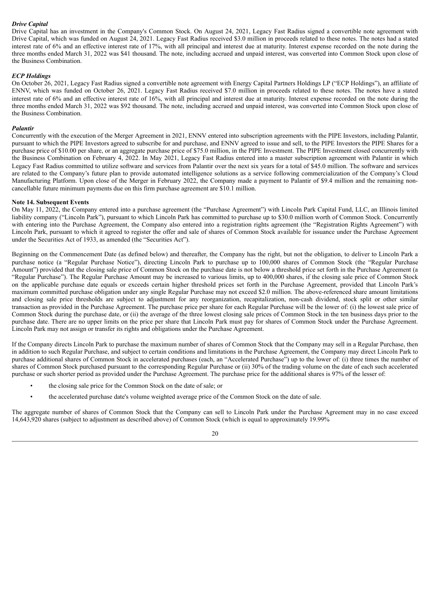# *Drive Capital*

Drive Capital has an investment in the Company's Common Stock. On August 24, 2021, Legacy Fast Radius signed a convertible note agreement with Drive Capital, which was funded on August 24, 2021. Legacy Fast Radius received \$3.0 million in proceeds related to these notes. The notes had a stated interest rate of 6% and an effective interest rate of 17%, with all principal and interest due at maturity. Interest expense recorded on the note during the three months ended March 31, 2022 was \$41 thousand. The note, including accrued and unpaid interest, was converted into Common Stock upon close of the Business Combination.

# *ECP Holdings*

On October 26, 2021, Legacy Fast Radius signed a convertible note agreement with Energy Capital Partners Holdings LP ("ECP Holdings"), an affiliate of ENNV, which was funded on October 26, 2021. Legacy Fast Radius received \$7.0 million in proceeds related to these notes. The notes have a stated interest rate of 6% and an effective interest rate of 16%, with all principal and interest due at maturity. Interest expense recorded on the note during the three months ended March 31, 2022 was \$92 thousand. The note, including accrued and unpaid interest, was converted into Common Stock upon close of the Business Combination.

#### *Palantir*

Concurrently with the execution of the Merger Agreement in 2021, ENNV entered into subscription agreements with the PIPE Investors, including Palantir, pursuant to which the PIPE Investors agreed to subscribe for and purchase, and ENNV agreed to issue and sell, to the PIPE Investors the PIPE Shares for a purchase price of \$10.00 per share, or an aggregate purchase price of \$75.0 million, in the PIPE Investment. The PIPE Investment closed concurrently with the Business Combination on February 4, 2022. In May 2021, Legacy Fast Radius entered into a master subscription agreement with Palantir in which Legacy Fast Radius committed to utilize software and services from Palantir over the next six years for a total of \$45.0 million. The software and services are related to the Company's future plan to provide automated intelligence solutions as a service following commercialization of the Company's Cloud Manufacturing Platform. Upon close of the Merger in February 2022, the Company made a payment to Palantir of \$9.4 million and the remaining noncancellable future minimum payments due on this firm purchase agreement are \$10.1 million.

# **Note 14. Subsequent Events**

On May 11, 2022, the Company entered into a purchase agreement (the "Purchase Agreement") with Lincoln Park Capital Fund, LLC, an Illinois limited liability company ("Lincoln Park"), pursuant to which Lincoln Park has committed to purchase up to \$30.0 million worth of Common Stock. Concurrently with entering into the Purchase Agreement, the Company also entered into a registration rights agreement (the "Registration Rights Agreement") with Lincoln Park, pursuant to which it agreed to register the offer and sale of shares of Common Stock available for issuance under the Purchase Agreement under the Securities Act of 1933, as amended (the "Securities Act").

Beginning on the Commencement Date (as defined below) and thereafter, the Company has the right, but not the obligation, to deliver to Lincoln Park a purchase notice (a "Regular Purchase Notice"), directing Lincoln Park to purchase up to 100,000 shares of Common Stock (the "Regular Purchase Amount") provided that the closing sale price of Common Stock on the purchase date is not below a threshold price set forth in the Purchase Agreement (a "Regular Purchase"). The Regular Purchase Amount may be increased to various limits, up to 400,000 shares, if the closing sale price of Common Stock on the applicable purchase date equals or exceeds certain higher threshold prices set forth in the Purchase Agreement, provided that Lincoln Park's maximum committed purchase obligation under any single Regular Purchase may not exceed \$2.0 million. The above-referenced share amount limitations and closing sale price thresholds are subject to adjustment for any reorganization, recapitalization, non-cash dividend, stock split or other similar transaction as provided in the Purchase Agreement. The purchase price per share for each Regular Purchase will be the lower of: (i) the lowest sale price of Common Stock during the purchase date, or (ii) the average of the three lowest closing sale prices of Common Stock in the ten business days prior to the purchase date. There are no upper limits on the price per share that Lincoln Park must pay for shares of Common Stock under the Purchase Agreement. Lincoln Park may not assign or transfer its rights and obligations under the Purchase Agreement.

If the Company directs Lincoln Park to purchase the maximum number of shares of Common Stock that the Company may sell in a Regular Purchase, then in addition to such Regular Purchase, and subject to certain conditions and limitations in the Purchase Agreement, the Company may direct Lincoln Park to purchase additional shares of Common Stock in accelerated purchases (each, an "Accelerated Purchase") up to the lower of: (i) three times the number of shares of Common Stock purchased pursuant to the corresponding Regular Purchase or (ii) 30% of the trading volume on the date of each such accelerated purchase or such shorter period as provided under the Purchase Agreement. The purchase price for the additional shares is 97% of the lesser of:

- the closing sale price for the Common Stock on the date of sale; or
- the accelerated purchase date's volume weighted average price of the Common Stock on the date of sale.

The aggregate number of shares of Common Stock that the Company can sell to Lincoln Park under the Purchase Agreement may in no case exceed 14,643,920 shares (subject to adjustment as described above) of Common Stock (which is equal to approximately 19.99%

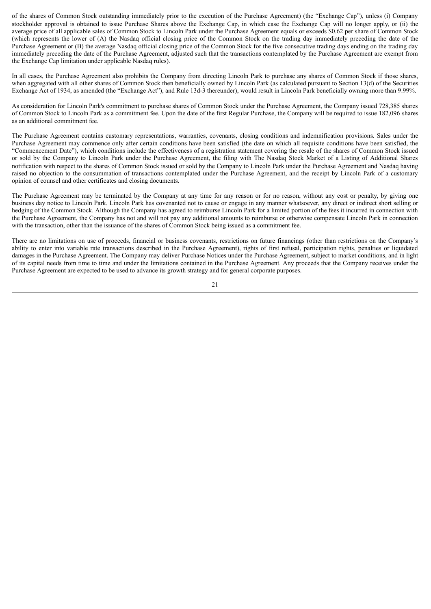of the shares of Common Stock outstanding immediately prior to the execution of the Purchase Agreement) (the "Exchange Cap"), unless (i) Company stockholder approval is obtained to issue Purchase Shares above the Exchange Cap, in which case the Exchange Cap will no longer apply, or (ii) the average price of all applicable sales of Common Stock to Lincoln Park under the Purchase Agreement equals or exceeds \$0.62 per share of Common Stock (which represents the lower of (A) the Nasdaq official closing price of the Common Stock on the trading day immediately preceding the date of the Purchase Agreement or (B) the average Nasdaq official closing price of the Common Stock for the five consecutive trading days ending on the trading day immediately preceding the date of the Purchase Agreement, adjusted such that the transactions contemplated by the Purchase Agreement are exempt from the Exchange Cap limitation under applicable Nasdaq rules).

In all cases, the Purchase Agreement also prohibits the Company from directing Lincoln Park to purchase any shares of Common Stock if those shares, when aggregated with all other shares of Common Stock then beneficially owned by Lincoln Park (as calculated pursuant to Section 13(d) of the Securities Exchange Act of 1934, as amended (the "Exchange Act"), and Rule 13d-3 thereunder), would result in Lincoln Park beneficially owning more than 9.99%.

As consideration for Lincoln Park's commitment to purchase shares of Common Stock under the Purchase Agreement, the Company issued 728,385 shares of Common Stock to Lincoln Park as a commitment fee. Upon the date of the first Regular Purchase, the Company will be required to issue 182,096 shares as an additional commitment fee.

The Purchase Agreement contains customary representations, warranties, covenants, closing conditions and indemnification provisions. Sales under the Purchase Agreement may commence only after certain conditions have been satisfied (the date on which all requisite conditions have been satisfied, the "Commencement Date"), which conditions include the effectiveness of a registration statement covering the resale of the shares of Common Stock issued or sold by the Company to Lincoln Park under the Purchase Agreement, the filing with The Nasdaq Stock Market of a Listing of Additional Shares notification with respect to the shares of Common Stock issued or sold by the Company to Lincoln Park under the Purchase Agreement and Nasdaq having raised no objection to the consummation of transactions contemplated under the Purchase Agreement, and the receipt by Lincoln Park of a customary opinion of counsel and other certificates and closing documents.

The Purchase Agreement may be terminated by the Company at any time for any reason or for no reason, without any cost or penalty, by giving one business day notice to Lincoln Park. Lincoln Park has covenanted not to cause or engage in any manner whatsoever, any direct or indirect short selling or hedging of the Common Stock. Although the Company has agreed to reimburse Lincoln Park for a limited portion of the fees it incurred in connection with the Purchase Agreement, the Company has not and will not pay any additional amounts to reimburse or otherwise compensate Lincoln Park in connection with the transaction, other than the issuance of the shares of Common Stock being issued as a commitment fee.

There are no limitations on use of proceeds, financial or business covenants, restrictions on future financings (other than restrictions on the Company's ability to enter into variable rate transactions described in the Purchase Agreement), rights of first refusal, participation rights, penalties or liquidated damages in the Purchase Agreement. The Company may deliver Purchase Notices under the Purchase Agreement, subject to market conditions, and in light of its capital needs from time to time and under the limitations contained in the Purchase Agreement. Any proceeds that the Company receives under the Purchase Agreement are expected to be used to advance its growth strategy and for general corporate purposes.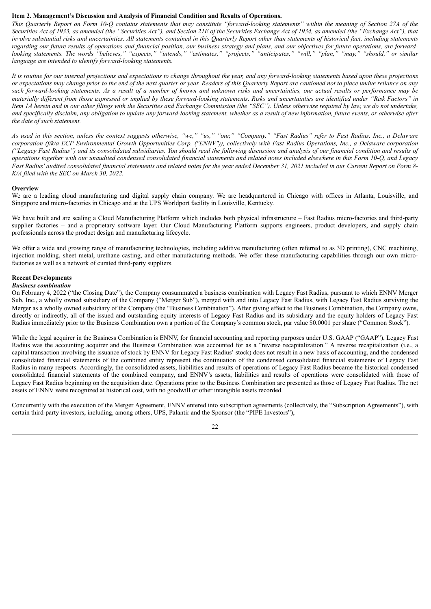# <span id="page-23-0"></span>**Item 2. Management's Discussion and Analysis of Financial Condition and Results of Operations.**

This Quarterly Report on Form 10-Q contains statements that may constitute "forward-looking statements" within the meaning of Section 27A of the Securities Act of 1933, as amended (the "Securities Act"), and Section 21E of the Securities Exchange Act of 1934, as amended (the "Exchange Act"), that involve substantial risks and uncertainties. All statements contained in this Quarterly Report other than statements of historical fact, including statements regarding our future results of operations and financial position, our business strategy and plans, and our objectives for future operations, are forwardlooking statements. The words "believes," "expects," "intends," "estimates," "projects," "anticipates," "will," "plan," "may," "should," or similar *language are intended to identify forward-looking statements.*

It is routine for our internal projections and expectations to change throughout the year, and any forward-looking statements based upon these projections or expectations may change prior to the end of the next quarter or year. Readers of this Quarterly Report are cautioned not to place undue reliance on any such forward-looking statements. As a result of a number of known and unknown risks and uncertainties, our actual results or performance may be materially different from those expressed or implied by these forward-looking statements. Risks and uncertainties are identified under "Risk Factors" in Item 1A herein and in our other filings with the Securities and Exchange Commission (the "SEC"). Unless otherwise required by law, we do not undertake, and specifically disclaim, any obligation to update any forward-looking statement, whether as a result of new information, future events, or otherwise after *the date of such statement.*

As used in this section, unless the context suggests otherwise, "we," "us," "our," "Company," "Fast Radius" refer to Fast Radius, Inc., a Delaware corporation (f/k/a ECP Environmental Growth Opportunities Corp. ("ENNV")), collectively with Fast Radius Operations, Inc., a Delaware corporation ("Legacy Fast Radius") and its consolidated subsidiaries. You should read the following discussion and analysis of our financial condition and results of operations together with our unaudited condensed consolidated financial statements and related notes included elsewhere in this Form 10-O, and Legacy Fast Radius' audited consolidated financial statements and related notes for the year ended December 31, 2021 included in our Current Report on Form 8-*K/A filed with the SEC on March 30, 2022.*

# **Overview**

We are a leading cloud manufacturing and digital supply chain company. We are headquartered in Chicago with offices in Atlanta, Louisville, and Singapore and micro-factories in Chicago and at the UPS Worldport facility in Louisville, Kentucky.

We have built and are scaling a Cloud Manufacturing Platform which includes both physical infrastructure – Fast Radius micro-factories and third-party supplier factories – and a proprietary software layer. Our Cloud Manufacturing Platform supports engineers, product developers, and supply chain professionals across the product design and manufacturing lifecycle.

We offer a wide and growing range of manufacturing technologies, including additive manufacturing (often referred to as 3D printing), CNC machining, injection molding, sheet metal, urethane casting, and other manufacturing methods. We offer these manufacturing capabilities through our own microfactories as well as a network of curated third-party suppliers.

# **Recent Developments**

#### *Business combination*

On February 4, 2022 ("the Closing Date"), the Company consummated a business combination with Legacy Fast Radius, pursuant to which ENNV Merger Sub, Inc., a wholly owned subsidiary of the Company ("Merger Sub"), merged with and into Legacy Fast Radius, with Legacy Fast Radius surviving the Merger as a wholly owned subsidiary of the Company (the "Business Combination"). After giving effect to the Business Combination, the Company owns, directly or indirectly, all of the issued and outstanding equity interests of Legacy Fast Radius and its subsidiary and the equity holders of Legacy Fast Radius immediately prior to the Business Combination own a portion of the Company's common stock, par value \$0.0001 per share ("Common Stock").

While the legal acquirer in the Business Combination is ENNV, for financial accounting and reporting purposes under U.S. GAAP ("GAAP"), Legacy Fast Radius was the accounting acquirer and the Business Combination was accounted for as a "reverse recapitalization." A reverse recapitalization (i.e., a capital transaction involving the issuance of stock by ENNV for Legacy Fast Radius' stock) does not result in a new basis of accounting, and the condensed consolidated financial statements of the combined entity represent the continuation of the condensed consolidated financial statements of Legacy Fast Radius in many respects. Accordingly, the consolidated assets, liabilities and results of operations of Legacy Fast Radius became the historical condensed consolidated financial statements of the combined company, and ENNV's assets, liabilities and results of operations were consolidated with those of Legacy Fast Radius beginning on the acquisition date. Operations prior to the Business Combination are presented as those of Legacy Fast Radius. The net assets of ENNV were recognized at historical cost, with no goodwill or other intangible assets recorded.

Concurrently with the execution of the Merger Agreement, ENNV entered into subscription agreements (collectively, the "Subscription Agreements"), with certain third-party investors, including, among others, UPS, Palantir and the Sponsor (the "PIPE Investors"),

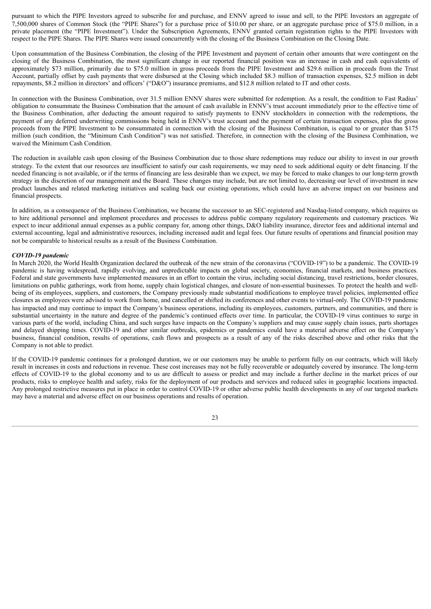pursuant to which the PIPE Investors agreed to subscribe for and purchase, and ENNV agreed to issue and sell, to the PIPE Investors an aggregate of 7,500,000 shares of Common Stock (the "PIPE Shares") for a purchase price of \$10.00 per share, or an aggregate purchase price of \$75.0 million, in a private placement (the "PIPE Investment"). Under the Subscription Agreements, ENNV granted certain registration rights to the PIPE Investors with respect to the PIPE Shares. The PIPE Shares were issued concurrently with the closing of the Business Combination on the Closing Date.

Upon consummation of the Business Combination, the closing of the PIPE Investment and payment of certain other amounts that were contingent on the closing of the Business Combination, the most significant change in our reported financial position was an increase in cash and cash equivalents of approximately \$73 million, primarily due to \$75.0 million in gross proceeds from the PIPE Investment and \$29.6 million in proceeds from the Trust Account, partially offset by cash payments that were disbursed at the Closing which included \$8.3 million of transaction expenses, \$2.5 million in debt repayments, \$8.2 million in directors' and officers' ("D&O") insurance premiums, and \$12.8 million related to IT and other costs.

In connection with the Business Combination, over 31.5 million ENNV shares were submitted for redemption. As a result, the condition to Fast Radius' obligation to consummate the Business Combination that the amount of cash available in ENNV's trust account immediately prior to the effective time of the Business Combination, after deducting the amount required to satisfy payments to ENNV stockholders in connection with the redemptions, the payment of any deferred underwriting commissions being held in ENNV's trust account and the payment of certain transaction expenses, plus the gross proceeds from the PIPE Investment to be consummated in connection with the closing of the Business Combination, is equal to or greater than \$175 million (such condition, the "Minimum Cash Condition") was not satisfied. Therefore, in connection with the closing of the Business Combination, we waived the Minimum Cash Condition.

The reduction in available cash upon closing of the Business Combination due to those share redemptions may reduce our ability to invest in our growth strategy. To the extent that our resources are insufficient to satisfy our cash requirements, we may need to seek additional equity or debt financing. If the needed financing is not available, or if the terms of financing are less desirable than we expect, we may be forced to make changes to our long-term growth strategy in the discretion of our management and the Board. These changes may include, but are not limited to, decreasing our level of investment in new product launches and related marketing initiatives and scaling back our existing operations, which could have an adverse impact on our business and financial prospects.

In addition, as a consequence of the Business Combination, we became the successor to an SEC-registered and Nasdaq-listed company, which requires us to hire additional personnel and implement procedures and processes to address public company regulatory requirements and customary practices. We expect to incur additional annual expenses as a public company for, among other things, D&O liability insurance, director fees and additional internal and external accounting, legal and administrative resources, including increased audit and legal fees. Our future results of operations and financial position may not be comparable to historical results as a result of the Business Combination.

# *COVID-19 pandemic*

In March 2020, the World Health Organization declared the outbreak of the new strain of the coronavirus ("COVID-19") to be a pandemic. The COVID-19 pandemic is having widespread, rapidly evolving, and unpredictable impacts on global society, economies, financial markets, and business practices. Federal and state governments have implemented measures in an effort to contain the virus, including social distancing, travel restrictions, border closures, limitations on public gatherings, work from home, supply chain logistical changes, and closure of non-essential businesses. To protect the health and wellbeing of its employees, suppliers, and customers, the Company previously made substantial modifications to employee travel policies, implemented office closures as employees were advised to work from home, and cancelled or shifted its conferences and other events to virtual-only. The COVID-19 pandemic has impacted and may continue to impact the Company's business operations, including its employees, customers, partners, and communities, and there is substantial uncertainty in the nature and degree of the pandemic's continued effects over time. In particular, the COVID-19 virus continues to surge in various parts of the world, including China, and such surges have impacts on the Company's suppliers and may cause supply chain issues, parts shortages and delayed shipping times. COVID-19 and other similar outbreaks, epidemics or pandemics could have a material adverse effect on the Company's business, financial condition, results of operations, cash flows and prospects as a result of any of the risks described above and other risks that the Company is not able to predict.

If the COVID-19 pandemic continues for a prolonged duration, we or our customers may be unable to perform fully on our contracts, which will likely result in increases in costs and reductions in revenue. These cost increases may not be fully recoverable or adequately covered by insurance. The long-term effects of COVID-19 to the global economy and to us are difficult to assess or predict and may include a further decline in the market prices of our products, risks to employee health and safety, risks for the deployment of our products and services and reduced sales in geographic locations impacted. Any prolonged restrictive measures put in place in order to control COVID-19 or other adverse public health developments in any of our targeted markets may have a material and adverse effect on our business operations and results of operation.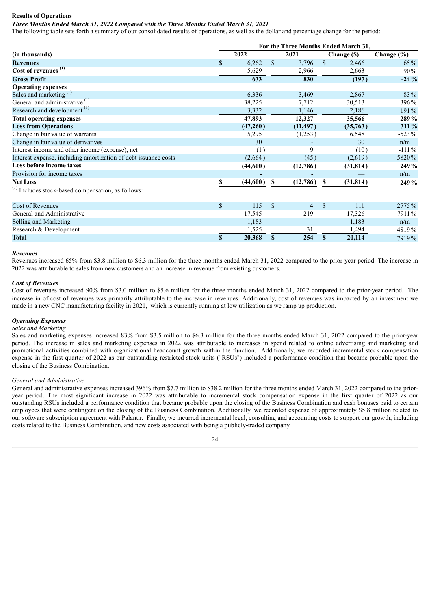# **Results of Operations**

# *Three Months Ended March 31, 2022 Compared with the Three Months Ended March 31, 2021*

The following table sets forth a summary of our consolidated results of operations, as well as the dollar and percentage change for the period:

|                                                                 | For the Three Months Ended March 31, |          |               |                   |               |             |            |  |
|-----------------------------------------------------------------|--------------------------------------|----------|---------------|-------------------|---------------|-------------|------------|--|
| (in thousands)                                                  |                                      | 2022     |               | 2021              |               | Change (\$) | Change (%) |  |
| <b>Revenues</b>                                                 | \$                                   | 6,262    | $\mathbb{S}$  | 3,796             | <sup>\$</sup> | 2,466       | 65 %       |  |
| Cost of revenues <sup>(1)</sup>                                 |                                      | 5,629    |               | 2,966             |               | 2,663       | 90%        |  |
| <b>Gross Profit</b>                                             |                                      | 633      |               | 830               |               | (197)       | $-24%$     |  |
| <b>Operating expenses</b>                                       |                                      |          |               |                   |               |             |            |  |
| Sales and marketing <sup>(1)</sup>                              |                                      | 6,336    |               | 3,469             |               | 2,867       | 83%        |  |
| General and administrative <sup>(1)</sup>                       |                                      | 38,225   |               | 7,712             |               | 30,513      | 396%       |  |
| Research and development <sup>(1)</sup>                         |                                      | 3,332    |               | 1,146             |               | 2,186       | 191%       |  |
| <b>Total operating expenses</b>                                 |                                      | 47,893   |               | 12,327            |               | 35,566      | 289 %      |  |
| <b>Loss from Operations</b>                                     |                                      | (47,260) |               | (11, 497)         |               | (35,763)    | 311 %      |  |
| Change in fair value of warrants                                |                                      | 5,295    |               | (1,253)           |               | 6,548       | $-523%$    |  |
| Change in fair value of derivatives                             |                                      | 30       |               |                   |               | 30          | n/m        |  |
| Interest income and other income (expense), net                 |                                      | (1)      |               | 9                 |               | (10)        | $-111\%$   |  |
| Interest expense, including amortization of debt issuance costs |                                      | (2,664)  |               | (45)              |               | (2,619)     | 5820%      |  |
| Loss before income taxes                                        |                                      | (44,600) |               | (12,786)          |               | (31, 814)   | 249 %      |  |
| Provision for income taxes                                      |                                      |          |               |                   |               |             | n/m        |  |
| <b>Net Loss</b>                                                 | S                                    | (44,600) | \$.           | (12,786)          | S             | (31, 814)   | 249 %      |  |
| $(1)$ Includes stock-based compensation, as follows:            |                                      |          |               |                   |               |             |            |  |
| Cost of Revenues                                                | \$                                   | 115      | $\mathbb{S}$  | $\overline{4}$    | $\mathcal{S}$ | 111         | 2775 %     |  |
| General and Administrative                                      |                                      | 17,545   |               | 219               |               | 17,326      | 7911%      |  |
| Selling and Marketing                                           |                                      | 1,183    |               | $\qquad \qquad -$ |               | 1,183       | n/m        |  |
| Research & Development                                          |                                      | 1,525    |               | 31                |               | 1,494       | 4819%      |  |
| <b>Total</b>                                                    | $\mathbf{s}$                         | 20,368   | <sup>\$</sup> | 254               | \$            | 20,114      | 7919%      |  |

#### *Revenues*

Revenues increased 65% from \$3.8 million to \$6.3 million for the three months ended March 31, 2022 compared to the prior-year period. The increase in 2022 was attributable to sales from new customers and an increase in revenue from existing customers.

#### *Cost of Revenues*

Cost of revenues increased 90% from \$3.0 million to \$5.6 million for the three months ended March 31, 2022 compared to the prior-year period. The increase in of cost of revenues was primarily attributable to the increase in revenues. Additionally, cost of revenues was impacted by an investment we made in a new CNC manufacturing facility in 2021, which is currently running at low utilization as we ramp up production.

# *Operating Expenses*

#### *Sales and Marketing*

Sales and marketing expenses increased 83% from \$3.5 million to \$6.3 million for the three months ended March 31, 2022 compared to the prior-year period. The increase in sales and marketing expenses in 2022 was attributable to increases in spend related to online advertising and marketing and promotional activities combined with organizational headcount growth within the function. Additionally, we recorded incremental stock compensation expense in the first quarter of 2022 as our outstanding restricted stock units ("RSUs") included a performance condition that became probable upon the closing of the Business Combination.

# *General and Administrative*

General and administrative expenses increased 396% from \$7.7 million to \$38.2 million for the three months ended March 31, 2022 compared to the prioryear period. The most significant increase in 2022 was attributable to incremental stock compensation expense in the first quarter of 2022 as our outstanding RSUs included a performance condition that became probable upon the closing of the Business Combination and cash bonuses paid to certain employees that were contingent on the closing of the Business Combination. Additionally, we recorded expense of approximately \$5.8 million related to our software subscription agreement with Palantir. Finally, we incurred incremental legal, consulting and accounting costs to support our growth, including costs related to the Business Combination, and new costs associated with being a publicly-traded company.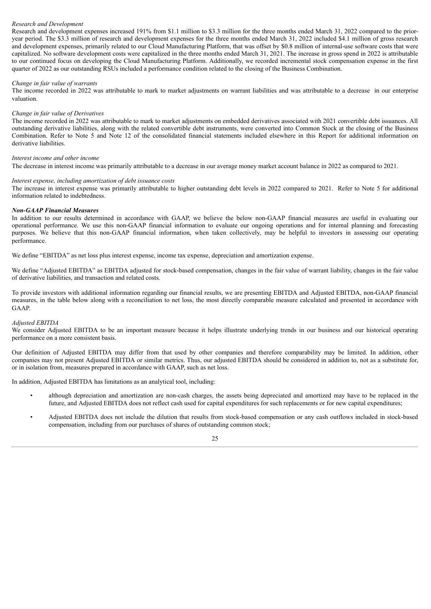# *Research and Development*

Research and development expenses increased 191% from \$1.1 million to \$3.3 million for the three months ended March 31, 2022 compared to the prioryear period. The \$3.3 million of research and development expenses for the three months ended March 31, 2022 included \$4.1 million of gross research and development expenses, primarily related to our Cloud Manufacturing Platform, that was offset by \$0.8 million of internal-use software costs that were capitalized. No software development costs were capitalized in the three months ended March 31, 2021. The increase in gross spend in 2022 is attributable to our continued focus on developing the Cloud Manufacturing Platform. Additionally, we recorded incremental stock compensation expense in the first quarter of 2022 as our outstanding RSUs included a performance condition related to the closing of the Business Combination.

#### *Change in fair value of warrants*

The income recorded in 2022 was attributable to mark to market adjustments on warrant liabilities and was attributable to a decrease in our enterprise valuation.

#### *Change in fair value of Derivatives*

The income recorded in 2022 was attributable to mark to market adjustments on embedded derivatives associated with 2021 convertible debt issuances. All outstanding derivative liabilities, along with the related convertible debt instruments, were converted into Common Stock at the closing of the Business Combination. Refer to Note 5 and Note 12 of the consolidated financial statements included elsewhere in this Report for additional information on derivative liabilities.

#### *Interest income and other income*

The decrease in interest income was primarily attributable to a decrease in our average money market account balance in 2022 as compared to 2021.

#### *Interest expense, including amortization of debt issuance costs*

The increase in interest expense was primarily attributable to higher outstanding debt levels in 2022 compared to 2021. Refer to Note 5 for additional information related to indebtedness.

#### *Non-GAAP Financial Measures*

In addition to our results determined in accordance with GAAP, we believe the below non-GAAP financial measures are useful in evaluating our operational performance. We use this non-GAAP financial information to evaluate our ongoing operations and for internal planning and forecasting purposes. We believe that this non-GAAP financial information, when taken collectively, may be helpful to investors in assessing our operating performance.

We define "EBITDA" as net loss plus interest expense, income tax expense, depreciation and amortization expense.

We define "Adjusted EBITDA" as EBITDA adjusted for stock-based compensation, changes in the fair value of warrant liability, changes in the fair value of derivative liabilities, and transaction and related costs.

To provide investors with additional information regarding our financial results, we are presenting EBITDA and Adjusted EBITDA, non-GAAP financial measures, in the table below along with a reconciliation to net loss, the most directly comparable measure calculated and presented in accordance with GAAP.

#### *Adjusted EBITDA*

We consider Adjusted EBITDA to be an important measure because it helps illustrate underlying trends in our business and our historical operating performance on a more consistent basis.

Our definition of Adjusted EBITDA may differ from that used by other companies and therefore comparability may be limited. In addition, other companies may not present Adjusted EBITDA or similar metrics. Thus, our adjusted EBITDA should be considered in addition to, not as a substitute for, or in isolation from, measures prepared in accordance with GAAP, such as net loss.

In addition, Adjusted EBITDA has limitations as an analytical tool, including:

- although depreciation and amortization are non-cash charges, the assets being depreciated and amortized may have to be replaced in the future, and Adjusted EBITDA does not reflect cash used for capital expenditures for such replacements or for new capital expenditures;
- Adjusted EBITDA does not include the dilution that results from stock-based compensation or any cash outflows included in stock-based compensation, including from our purchases of shares of outstanding common stock;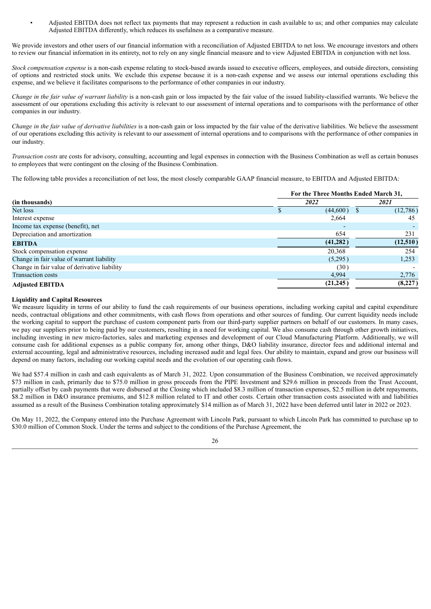• Adjusted EBITDA does not reflect tax payments that may represent a reduction in cash available to us; and other companies may calculate Adjusted EBITDA differently, which reduces its usefulness as a comparative measure.

We provide investors and other users of our financial information with a reconciliation of Adjusted EBITDA to net loss. We encourage investors and others to review our financial information in its entirety, not to rely on any single financial measure and to view Adjusted EBITDA in conjunction with net loss.

*Stock compensation expense* is a non-cash expense relating to stock-based awards issued to executive officers, employees, and outside directors, consisting of options and restricted stock units. We exclude this expense because it is a non-cash expense and we assess our internal operations excluding this expense, and we believe it facilitates comparisons to the performance of other companies in our industry.

*Change in the fair value of warrant liability* is a non-cash gain or loss impacted by the fair value of the issued liability-classified warrants. We believe the assessment of our operations excluding this activity is relevant to our assessment of internal operations and to comparisons with the performance of other companies in our industry.

*Change in the fair value of derivative liabilities* is a non-cash gain or loss impacted by the fair value of the derivative liabilities. We believe the assessment of our operations excluding this activity is relevant to our assessment of internal operations and to comparisons with the performance of other companies in our industry.

*Transaction costs* are costs for advisory, consulting, accounting and legal expenses in connection with the Business Combination as well as certain bonuses to employees that were contingent on the closing of the Business Combination.

The following table provides a reconciliation of net loss, the most closely comparable GAAP financial measure, to EBITDA and Adjusted EBITDA:

|                                              | For the Three Months Ended March 31, |           |          |           |  |  |  |  |
|----------------------------------------------|--------------------------------------|-----------|----------|-----------|--|--|--|--|
| (in thousands)                               |                                      | 2022      | 2021     |           |  |  |  |  |
| Net loss                                     |                                      | (44,600)  | <b>S</b> | (12,786)  |  |  |  |  |
| Interest expense                             |                                      | 2,664     |          | 45        |  |  |  |  |
| Income tax expense (benefit), net            |                                      |           |          |           |  |  |  |  |
| Depreciation and amortization                |                                      | 654       |          | 231       |  |  |  |  |
| <b>EBITDA</b>                                |                                      | (41, 282) |          | (12, 510) |  |  |  |  |
| Stock compensation expense                   |                                      | 20,368    |          | 254       |  |  |  |  |
| Change in fair value of warrant liability    |                                      | (5,295)   |          | 1,253     |  |  |  |  |
| Change in fair value of derivative liability |                                      | (30)      |          |           |  |  |  |  |
| Transaction costs                            |                                      | 4,994     |          | 2,776     |  |  |  |  |
| <b>Adjusted EBITDA</b>                       |                                      | (21, 245) |          | (8,227)   |  |  |  |  |

# **Liquidity and Capital Resources**

We measure liquidity in terms of our ability to fund the cash requirements of our business operations, including working capital and capital expenditure needs, contractual obligations and other commitments, with cash flows from operations and other sources of funding. Our current liquidity needs include the working capital to support the purchase of custom component parts from our third-party supplier partners on behalf of our customers. In many cases, we pay our suppliers prior to being paid by our customers, resulting in a need for working capital. We also consume cash through other growth initiatives, including investing in new micro-factories, sales and marketing expenses and development of our Cloud Manufacturing Platform. Additionally, we will consume cash for additional expenses as a public company for, among other things, D&O liability insurance, director fees and additional internal and external accounting, legal and administrative resources, including increased audit and legal fees. Our ability to maintain, expand and grow our business will depend on many factors, including our working capital needs and the evolution of our operating cash flows.

We had \$57.4 million in cash and cash equivalents as of March 31, 2022. Upon consummation of the Business Combination, we received approximately \$73 million in cash, primarily due to \$75.0 million in gross proceeds from the PIPE Investment and \$29.6 million in proceeds from the Trust Account, partially offset by cash payments that were disbursed at the Closing which included \$8.3 million of transaction expenses, \$2.5 million in debt repayments, \$8.2 million in D&O insurance premiums, and \$12.8 million related to IT and other costs. Certain other transaction costs associated with and liabilities assumed as a result of the Business Combination totaling approximately \$14 million as of March 31, 2022 have been deferred until later in 2022 or 2023.

On May 11, 2022, the Company entered into the Purchase Agreement with Lincoln Park, pursuant to which Lincoln Park has committed to purchase up to \$30.0 million of Common Stock. Under the terms and subject to the conditions of the Purchase Agreement, the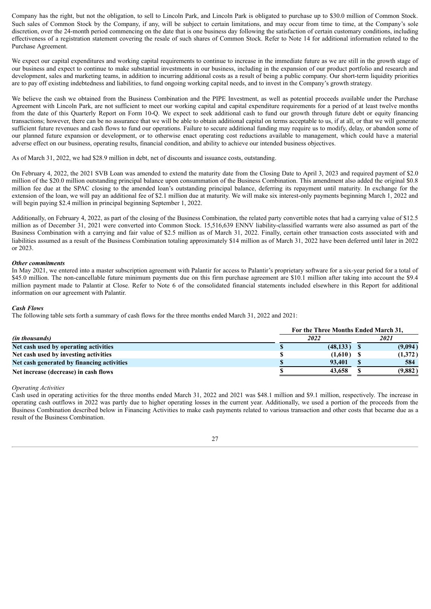Company has the right, but not the obligation, to sell to Lincoln Park, and Lincoln Park is obligated to purchase up to \$30.0 million of Common Stock. Such sales of Common Stock by the Company, if any, will be subject to certain limitations, and may occur from time to time, at the Company's sole discretion, over the 24-month period commencing on the date that is one business day following the satisfaction of certain customary conditions, including effectiveness of a registration statement covering the resale of such shares of Common Stock. Refer to Note 14 for additional information related to the Purchase Agreement.

We expect our capital expenditures and working capital requirements to continue to increase in the immediate future as we are still in the growth stage of our business and expect to continue to make substantial investments in our business, including in the expansion of our product portfolio and research and development, sales and marketing teams, in addition to incurring additional costs as a result of being a public company. Our short-term liquidity priorities are to pay off existing indebtedness and liabilities, to fund ongoing working capital needs, and to invest in the Company's growth strategy.

We believe the cash we obtained from the Business Combination and the PIPE Investment, as well as potential proceeds available under the Purchase Agreement with Lincoln Park, are not sufficient to meet our working capital and capital expenditure requirements for a period of at least twelve months from the date of this Quarterly Report on Form 10-Q. We expect to seek additional cash to fund our growth through future debt or equity financing transactions; however, there can be no assurance that we will be able to obtain additional capital on terms acceptable to us, if at all, or that we will generate sufficient future revenues and cash flows to fund our operations. Failure to secure additional funding may require us to modify, delay, or abandon some of our planned future expansion or development, or to otherwise enact operating cost reductions available to management, which could have a material adverse effect on our business, operating results, financial condition, and ability to achieve our intended business objectives.

As of March 31, 2022, we had \$28.9 million in debt, net of discounts and issuance costs, outstanding.

On February 4, 2022, the 2021 SVB Loan was amended to extend the maturity date from the Closing Date to April 3, 2023 and required payment of \$2.0 million of the \$20.0 million outstanding principal balance upon consummation of the Business Combination. This amendment also added the original \$0.8 million fee due at the SPAC closing to the amended loan's outstanding principal balance, deferring its repayment until maturity. In exchange for the extension of the loan, we will pay an additional fee of \$2.1 million due at maturity. We will make six interest-only payments beginning March 1, 2022 and will begin paying \$2.4 million in principal beginning September 1, 2022.

Additionally, on February 4, 2022, as part of the closing of the Business Combination, the related party convertible notes that had a carrying value of \$12.5 million as of December 31, 2021 were converted into Common Stock. 15,516,639 ENNV liability-classified warrants were also assumed as part of the Business Combination with a carrying and fair value of \$2.5 million as of March 31, 2022. Finally, certain other transaction costs associated with and liabilities assumed as a result of the Business Combination totaling approximately \$14 million as of March 31, 2022 have been deferred until later in 2022 or 2023.

#### *Other commitments*

In May 2021, we entered into a master subscription agreement with Palantir for access to Palantir's proprietary software for a six-year period for a total of \$45.0 million. The non-cancellable future minimum payments due on this firm purchase agreement are \$10.1 million after taking into account the \$9.4 million payment made to Palantir at Close. Refer to Note 6 of the consolidated financial statements included elsewhere in this Report for additional information on our agreement with Palantir.

#### *Cash Flows*

The following table sets forth a summary of cash flows for the three months ended March 31, 2022 and 2021:

|                                            | For the Three Months Ended March 31. |                |  |         |  |  |  |  |
|--------------------------------------------|--------------------------------------|----------------|--|---------|--|--|--|--|
| <i>(in thousands)</i>                      |                                      | 2022           |  |         |  |  |  |  |
| Net cash used by operating activities      |                                      | $(48, 133)$ \$ |  | (9,094) |  |  |  |  |
| Net cash used by investing activities      |                                      | $(1,610)$ \$   |  | (1,372) |  |  |  |  |
| Net cash generated by financing activities |                                      | 93,401         |  | 584     |  |  |  |  |
| Net increase (decrease) in cash flows      |                                      | 43,658         |  | (9,882) |  |  |  |  |

#### *Operating Activities*

Cash used in operating activities for the three months ended March 31, 2022 and 2021 was \$48.1 million and \$9.1 million, respectively. The increase in operating cash outflows in 2022 was partly due to higher operating losses in the current year. Additionally, we used a portion of the proceeds from the Business Combination described below in Financing Activities to make cash payments related to various transaction and other costs that became due as a result of the Business Combination.

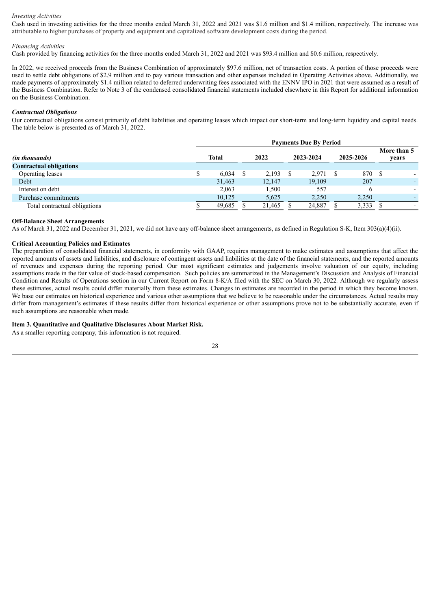# *Investing Activities*

Cash used in investing activities for the three months ended March 31, 2022 and 2021 was \$1.6 million and \$1.4 million, respectively. The increase was attributable to higher purchases of property and equipment and capitalized software development costs during the period.

#### *Financing Activities*

Cash provided by financing activities for the three months ended March 31, 2022 and 2021 was \$93.4 million and \$0.6 million, respectively.

In 2022, we received proceeds from the Business Combination of approximately \$97.6 million, net of transaction costs. A portion of those proceeds were used to settle debt obligations of \$2.9 million and to pay various transaction and other expenses included in Operating Activities above. Additionally, we made payments of approximately \$1.4 million related to deferred underwriting fees associated with the ENNV IPO in 2021 that were assumed as a result of the Business Combination. Refer to Note 3 of the condensed consolidated financial statements included elsewhere in this Report for additional information on the Business Combination.

#### *Contractual Obligations*

Our contractual obligations consist primarily of debt liabilities and operating leases which impact our short-term and long-term liquidity and capital needs. The table below is presented as of March 31, 2022.

|                                | <b>Payments Due By Period</b> |              |  |        |  |           |  |           |  |                          |
|--------------------------------|-------------------------------|--------------|--|--------|--|-----------|--|-----------|--|--------------------------|
| <i>(in thousands)</i>          |                               | <b>Total</b> |  | 2022   |  | 2023-2024 |  | 2025-2026 |  | More than 5<br>years     |
| <b>Contractual obligations</b> |                               |              |  |        |  |           |  |           |  |                          |
| Operating leases               |                               | 6,034        |  | 2,193  |  | 2.971     |  | 870 \$    |  |                          |
| Debt                           |                               | 31,463       |  | 12,147 |  | 19,109    |  | 207       |  | $\sim$                   |
| Interest on debt               |                               | 2,063        |  | 1,500  |  | 557       |  | h         |  |                          |
| Purchase commitments           |                               | 10,125       |  | 5,625  |  | 2,250     |  | 2,250     |  | $\overline{\phantom{0}}$ |
| Total contractual obligations  |                               | 49,685       |  | 21,465 |  | 24,887    |  | 3.333     |  |                          |

#### **Off-Balance Sheet Arrangements**

As of March 31, 2022 and December 31, 2021, we did not have any off-balance sheet arrangements, as defined in Regulation S-K, Item 303(a)(4)(ii).

# **Critical Accounting Policies and Estimates**

The preparation of consolidated financial statements, in conformity with GAAP, requires management to make estimates and assumptions that affect the reported amounts of assets and liabilities, and disclosure of contingent assets and liabilities at the date of the financial statements, and the reported amounts of revenues and expenses during the reporting period. Our most significant estimates and judgements involve valuation of our equity, including assumptions made in the fair value of stock-based compensation. Such policies are summarized in the Management's Discussion and Analysis of Financial Condition and Results of Operations section in our Current Report on Form 8-K/A filed with the SEC on March 30, 2022*.* Although we regularly assess these estimates, actual results could differ materially from these estimates. Changes in estimates are recorded in the period in which they become known. We base our estimates on historical experience and various other assumptions that we believe to be reasonable under the circumstances. Actual results may differ from management's estimates if these results differ from historical experience or other assumptions prove not to be substantially accurate, even if such assumptions are reasonable when made.

#### <span id="page-29-0"></span>**Item 3. Quantitative and Qualitative Disclosures About Market Risk.**

As a smaller reporting company, this information is not required.

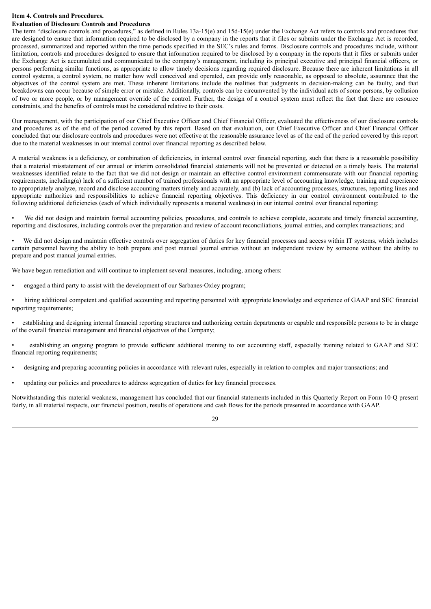# <span id="page-30-0"></span>**Item 4. Controls and Procedures.**

# **Evaluation of Disclosure Controls and Procedures**

The term "disclosure controls and procedures," as defined in Rules 13a-15(e) and 15d-15(e) under the Exchange Act refers to controls and procedures that are designed to ensure that information required to be disclosed by a company in the reports that it files or submits under the Exchange Act is recorded, processed, summarized and reported within the time periods specified in the SEC's rules and forms. Disclosure controls and procedures include, without limitation, controls and procedures designed to ensure that information required to be disclosed by a company in the reports that it files or submits under the Exchange Act is accumulated and communicated to the company's management, including its principal executive and principal financial officers, or persons performing similar functions, as appropriate to allow timely decisions regarding required disclosure. Because there are inherent limitations in all control systems, a control system, no matter how well conceived and operated, can provide only reasonable, as opposed to absolute, assurance that the objectives of the control system are met. These inherent limitations include the realities that judgments in decision-making can be faulty, and that breakdowns can occur because of simple error or mistake. Additionally, controls can be circumvented by the individual acts of some persons, by collusion of two or more people, or by management override of the control. Further, the design of a control system must reflect the fact that there are resource constraints, and the benefits of controls must be considered relative to their costs.

Our management, with the participation of our Chief Executive Officer and Chief Financial Officer, evaluated the effectiveness of our disclosure controls and procedures as of the end of the period covered by this report. Based on that evaluation, our Chief Executive Officer and Chief Financial Officer concluded that our disclosure controls and procedures were not effective at the reasonable assurance level as of the end of the period covered by this report due to the material weaknesses in our internal control over financial reporting as described below.

A material weakness is a deficiency, or combination of deficiencies, in internal control over financial reporting, such that there is a reasonable possibility that a material misstatement of our annual or interim consolidated financial statements will not be prevented or detected on a timely basis. The material weaknesses identified relate to the fact that we did not design or maintain an effective control environment commensurate with our financial reporting requirements, including(a) lack of a sufficient number of trained professionals with an appropriate level of accounting knowledge, training and experience to appropriately analyze, record and disclose accounting matters timely and accurately, and (b) lack of accounting processes, structures, reporting lines and appropriate authorities and responsibilities to achieve financial reporting objectives. This deficiency in our control environment contributed to the following additional deficiencies (each of which individually represents a material weakness) in our internal control over financial reporting:

We did not design and maintain formal accounting policies, procedures, and controls to achieve complete, accurate and timely financial accounting, reporting and disclosures, including controls over the preparation and review of account reconciliations, journal entries, and complex transactions; and

• We did not design and maintain effective controls over segregation of duties for key financial processes and access within IT systems, which includes certain personnel having the ability to both prepare and post manual journal entries without an independent review by someone without the ability to prepare and post manual journal entries.

We have begun remediation and will continue to implement several measures, including, among others:

- engaged a third party to assist with the development of our Sarbanes-Oxley program;
- hiring additional competent and qualified accounting and reporting personnel with appropriate knowledge and experience of GAAP and SEC financial reporting requirements;
- establishing and designing internal financial reporting structures and authorizing certain departments or capable and responsible persons to be in charge of the overall financial management and financial objectives of the Company;
- establishing an ongoing program to provide sufficient additional training to our accounting staff, especially training related to GAAP and SEC financial reporting requirements;
- designing and preparing accounting policies in accordance with relevant rules, especially in relation to complex and major transactions; and
- updating our policies and procedures to address segregation of duties for key financial processes.

Notwithstanding this material weakness, management has concluded that our financial statements included in this Quarterly Report on Form 10-Q present fairly, in all material respects, our financial position, results of operations and cash flows for the periods presented in accordance with GAAP.

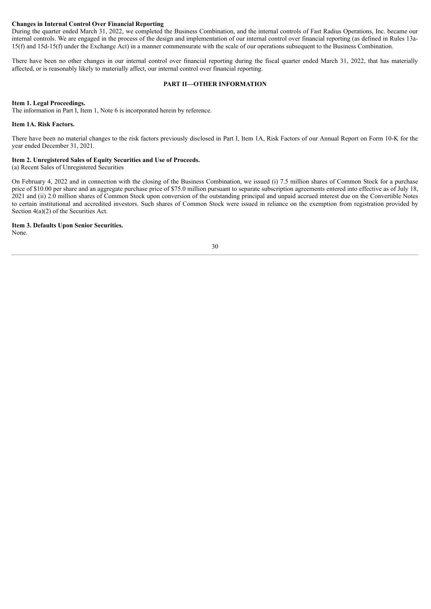#### **Changes in Internal Control Over Financial Reporting**

During the quarter ended March 31, 2022, we completed the Business Combination, and the internal controls of Fast Radius Operations, Inc. became our internal controls. We are engaged in the process of the design and implementation of our internal control over financial reporting (as defined in Rules 13a-15(f) and 15d-15(f) under the Exchange Act) in a manner commensurate with the scale of our operations subsequent to the Business Combination.

There have been no other changes in our internal control over financial reporting during the fiscal quarter ended March 31, 2022, that has materially affected, or is reasonably likely to materially affect, our internal control over financial reporting.

# **PART II—OTHER INFORMATION**

#### <span id="page-31-1"></span><span id="page-31-0"></span>**Item 1. Legal Proceedings.**

The information in Part I, Item 1, Note 6 is incorporated herein by reference.

#### <span id="page-31-2"></span>**Item 1A. Risk Factors.**

There have been no material changes to the risk factors previously disclosed in Part I, Item 1A, Risk Factors of our Annual Report on Form 10-K for the year ended December 31, 2021.

#### <span id="page-31-3"></span>**Item 2. Unregistered Sales of Equity Securities and Use of Proceeds.**

(a) Recent Sales of Unregistered Securities

On February 4, 2022 and in connection with the closing of the Business Combination, we issued (i) 7.5 million shares of Common Stock for a purchase price of \$10.00 per share and an aggregate purchase price of \$75.0 million pursuant to separate subscription agreements entered into effective as of July 18, 2021 and (ii) 2.0 million shares of Common Stock upon conversion of the outstanding principal and unpaid accrued interest due on the Convertible Notes to certain institutional and accredited investors. Such shares of Common Stock were issued in reliance on the exemption from registration provided by Section 4(a)(2) of the Securities Act.

# <span id="page-31-4"></span>**Item 3. Defaults Upon Senior Securities.**

None.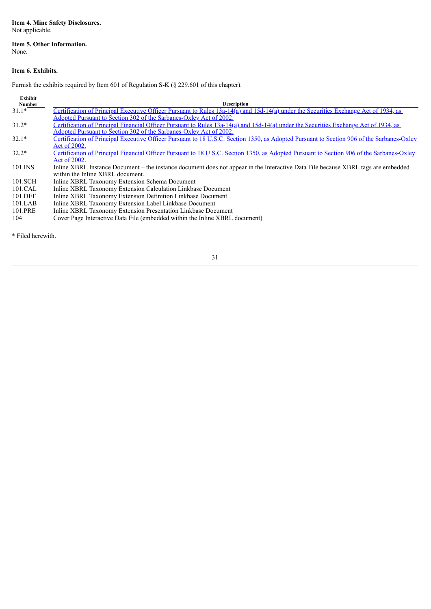# <span id="page-32-1"></span><span id="page-32-0"></span>**Item 5. Other Information.**

None.

# <span id="page-32-2"></span>**Item 6. Exhibits.**

Furnish the exhibits required by Item 601 of Regulation S-K (§ 229.601 of this chapter).

| Exhibit<br><b>Number</b> | <b>Description</b>                                                                                                                        |
|--------------------------|-------------------------------------------------------------------------------------------------------------------------------------------|
| $31.1*$                  | Certification of Principal Executive Officer Pursuant to Rules 13a-14(a) and 15d-14(a) under the Securities Exchange Act of 1934, as      |
|                          | Adopted Pursuant to Section 302 of the Sarbanes-Oxley Act of 2002.                                                                        |
| $31.2*$                  | Certification of Principal Financial Officer Pursuant to Rules 13a-14(a) and 15d-14(a) under the Securities Exchange Act of 1934, as      |
|                          | Adopted Pursuant to Section 302 of the Sarbanes-Oxley Act of 2002.                                                                        |
| $32.1*$                  | Certification of Principal Executive Officer Pursuant to 18 U.S.C. Section 1350, as Adopted Pursuant to Section 906 of the Sarbanes-Oxley |
|                          | Act of 2002.                                                                                                                              |
| $32.2*$                  | Certification of Principal Financial Officer Pursuant to 18 U.S.C. Section 1350, as Adopted Pursuant to Section 906 of the Sarbanes-Oxley |
|                          | Act of 2002.                                                                                                                              |
| $101$ . INS              | Inline XBRL Instance Document – the instance document does not appear in the Interactive Data File because XBRL tags are embedded         |
|                          | within the Inline XBRL document.                                                                                                          |
| 101.SCH                  | Inline XBRL Taxonomy Extension Schema Document                                                                                            |
| 101.CAL                  | Inline XBRL Taxonomy Extension Calculation Linkbase Document                                                                              |
| 101.DEF                  | Inline XBRL Taxonomy Extension Definition Linkbase Document                                                                               |
| 101.LAB                  | Inline XBRL Taxonomy Extension Label Linkbase Document                                                                                    |
| 101.PRE                  | Inline XBRL Taxonomy Extension Presentation Linkbase Document                                                                             |
| 104                      | Cover Page Interactive Data File (embedded within the Inline XBRL document)                                                               |
|                          |                                                                                                                                           |

\* Filed herewith.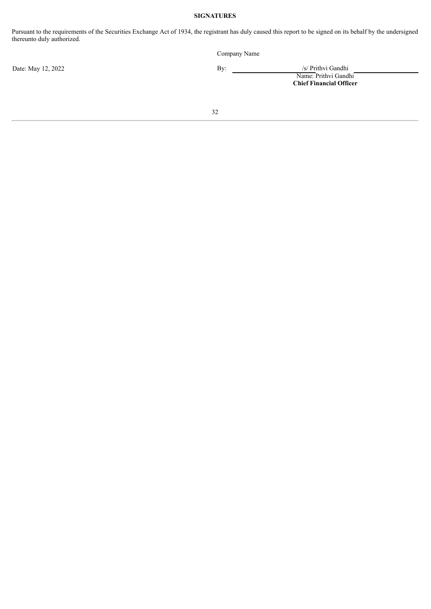# **SIGNATURES**

<span id="page-33-0"></span>Pursuant to the requirements of the Securities Exchange Act of 1934, the registrant has duly caused this report to be signed on its behalf by the undersigned thereunto duly authorized.

# Company Name

Date: May 12, 2022 By: /s/ Prithvi Gandhi Name: Prithvi Gandhi **Chief Financial Officer**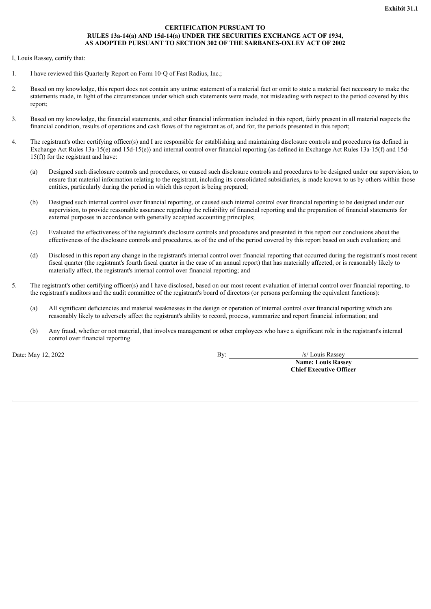# **CERTIFICATION PURSUANT TO RULES 13a-14(a) AND 15d-14(a) UNDER THE SECURITIES EXCHANGE ACT OF 1934, AS ADOPTED PURSUANT TO SECTION 302 OF THE SARBANES-OXLEY ACT OF 2002**

<span id="page-34-0"></span>I, Louis Rassey, certify that:

- 1. I have reviewed this Quarterly Report on Form 10-Q of Fast Radius, Inc.;
- 2. Based on my knowledge, this report does not contain any untrue statement of a material fact or omit to state a material fact necessary to make the statements made, in light of the circumstances under which such statements were made, not misleading with respect to the period covered by this report;
- 3. Based on my knowledge, the financial statements, and other financial information included in this report, fairly present in all material respects the financial condition, results of operations and cash flows of the registrant as of, and for, the periods presented in this report;
- 4. The registrant's other certifying officer(s) and I are responsible for establishing and maintaining disclosure controls and procedures (as defined in Exchange Act Rules 13a-15(e) and 15d-15(e)) and internal control over financial reporting (as defined in Exchange Act Rules 13a-15(f) and 15d-15(f)) for the registrant and have:
	- (a) Designed such disclosure controls and procedures, or caused such disclosure controls and procedures to be designed under our supervision, to ensure that material information relating to the registrant, including its consolidated subsidiaries, is made known to us by others within those entities, particularly during the period in which this report is being prepared;
	- (b) Designed such internal control over financial reporting, or caused such internal control over financial reporting to be designed under our supervision, to provide reasonable assurance regarding the reliability of financial reporting and the preparation of financial statements for external purposes in accordance with generally accepted accounting principles;
	- (c) Evaluated the effectiveness of the registrant's disclosure controls and procedures and presented in this report our conclusions about the effectiveness of the disclosure controls and procedures, as of the end of the period covered by this report based on such evaluation; and
	- (d) Disclosed in this report any change in the registrant's internal control over financial reporting that occurred during the registrant's most recent fiscal quarter (the registrant's fourth fiscal quarter in the case of an annual report) that has materially affected, or is reasonably likely to materially affect, the registrant's internal control over financial reporting; and
- 5. The registrant's other certifying officer(s) and I have disclosed, based on our most recent evaluation of internal control over financial reporting, to the registrant's auditors and the audit committee of the registrant's board of directors (or persons performing the equivalent functions):
	- (a) All significant deficiencies and material weaknesses in the design or operation of internal control over financial reporting which are reasonably likely to adversely affect the registrant's ability to record, process, summarize and report financial information; and
	- (b) Any fraud, whether or not material, that involves management or other employees who have a significant role in the registrant's internal control over financial reporting.

Date: May 12, 2022 By: /s/ Louis Rassey **Name: Louis Rassey**

**Chief Executive Officer**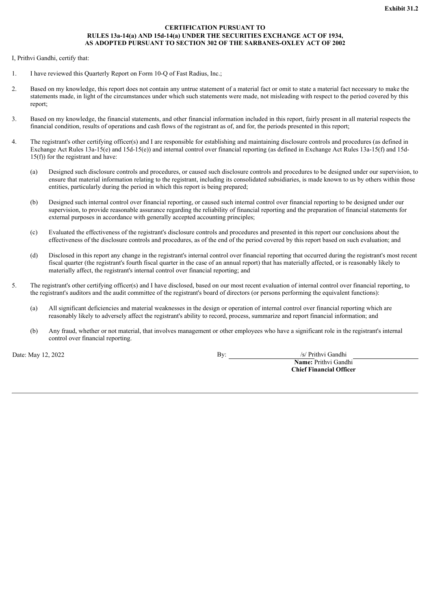# **CERTIFICATION PURSUANT TO RULES 13a-14(a) AND 15d-14(a) UNDER THE SECURITIES EXCHANGE ACT OF 1934, AS ADOPTED PURSUANT TO SECTION 302 OF THE SARBANES-OXLEY ACT OF 2002**

<span id="page-35-0"></span>I, Prithvi Gandhi, certify that:

- 1. I have reviewed this Quarterly Report on Form 10-Q of Fast Radius, Inc.;
- 2. Based on my knowledge, this report does not contain any untrue statement of a material fact or omit to state a material fact necessary to make the statements made, in light of the circumstances under which such statements were made, not misleading with respect to the period covered by this report;
- 3. Based on my knowledge, the financial statements, and other financial information included in this report, fairly present in all material respects the financial condition, results of operations and cash flows of the registrant as of, and for, the periods presented in this report;
- 4. The registrant's other certifying officer(s) and I are responsible for establishing and maintaining disclosure controls and procedures (as defined in Exchange Act Rules 13a-15(e) and 15d-15(e)) and internal control over financial reporting (as defined in Exchange Act Rules 13a-15(f) and 15d-15(f)) for the registrant and have:
	- (a) Designed such disclosure controls and procedures, or caused such disclosure controls and procedures to be designed under our supervision, to ensure that material information relating to the registrant, including its consolidated subsidiaries, is made known to us by others within those entities, particularly during the period in which this report is being prepared;
	- (b) Designed such internal control over financial reporting, or caused such internal control over financial reporting to be designed under our supervision, to provide reasonable assurance regarding the reliability of financial reporting and the preparation of financial statements for external purposes in accordance with generally accepted accounting principles;
	- (c) Evaluated the effectiveness of the registrant's disclosure controls and procedures and presented in this report our conclusions about the effectiveness of the disclosure controls and procedures, as of the end of the period covered by this report based on such evaluation; and
	- (d) Disclosed in this report any change in the registrant's internal control over financial reporting that occurred during the registrant's most recent fiscal quarter (the registrant's fourth fiscal quarter in the case of an annual report) that has materially affected, or is reasonably likely to materially affect, the registrant's internal control over financial reporting; and
- 5. The registrant's other certifying officer(s) and I have disclosed, based on our most recent evaluation of internal control over financial reporting, to the registrant's auditors and the audit committee of the registrant's board of directors (or persons performing the equivalent functions):
	- (a) All significant deficiencies and material weaknesses in the design or operation of internal control over financial reporting which are reasonably likely to adversely affect the registrant's ability to record, process, summarize and report financial information; and
	- (b) Any fraud, whether or not material, that involves management or other employees who have a significant role in the registrant's internal control over financial reporting.

Date: May 12, 2022

| By: | /s/ Prithvi Gandhi             |
|-----|--------------------------------|
|     | Name: Prithvi Gandhi           |
|     | <b>Chief Financial Officer</b> |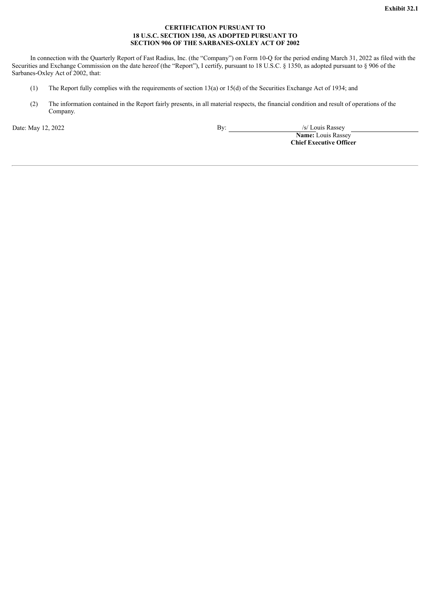# **CERTIFICATION PURSUANT TO 18 U.S.C. SECTION 1350, AS ADOPTED PURSUANT TO SECTION 906 OF THE SARBANES-OXLEY ACT OF 2002**

<span id="page-36-0"></span>In connection with the Quarterly Report of Fast Radius, Inc. (the "Company") on Form 10-Q for the period ending March 31, 2022 as filed with the Securities and Exchange Commission on the date hereof (the "Report"), I certify, pursuant to 18 U.S.C. § 1350, as adopted pursuant to § 906 of the Sarbanes-Oxley Act of 2002, that:

- (1) The Report fully complies with the requirements of section 13(a) or 15(d) of the Securities Exchange Act of 1934; and
- (2) The information contained in the Report fairly presents, in all material respects, the financial condition and result of operations of the Company.

Date: May 12, 2022 By: /s/ Louis Rassey

**Name:** Louis Rassey **Chief Executive Officer**